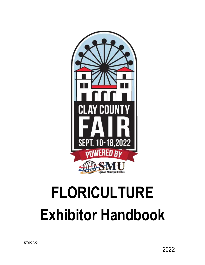

# **FLORICULTURE Exhibitor Handbook**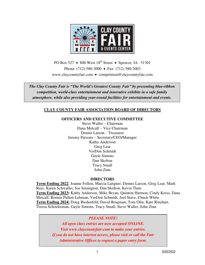

PO Box 527  $\bullet$  800 West 18<sup>th</sup> Street  $\bullet$  Spencer, IA 51301 Phone: (712) 580-3000 • Fax: (712) 580-3003 [www.claycountyfair.com](http://www.claycountyfair.com/) • competition@claycountyfair.com

*The Clay County Fair is "The World's Greatest County Fair" by presenting blue-ribbon competition, world-class entertainment and innovative exhibits in a safe family atmosphere, while also providing year-round facilities for entertainment and events.* 

## **CLAY COUNTY FAIR ASSOCIATION BOARD OF DIRECTORS**

#### **OFFICERS AND EXECUTIVE COMMITTEE**

Steve Waller – Chairman Dana Metcalf – Vice Chairman Dennis Larson – Treasurer Jeremy Parsons – Secretary/CEO/Manager Kathy Anderson Greg Lear VerDon Schmidt Gayle Simons Dan Skelton Tracy Small John Zinn

#### **DIRECTORS**

**Term Ending 2022**: Joanne Follon, Marcia Langner, Dennis Larson, Greg Lear, Mark Rees, Karen Schwaller, Joe Simington, Dan Skelton, Kevin Tlam **Term Ending 2023:** Kathy Anderson, Mike Bryan, Quinton Harmon, Cindy Kress, Dana Metcalf, Bonnie Pullen-Lehman, VerDon Schmidt, Joel Stave, Chuck White **Term Ending 2024:** Doug Biedenfeld, David Brugman, Tom Olin, Kate Rinehart, Teresa Schoelerman, Gayle Simons, Tracy Small, Steve Waller, John Zinn

#### *PLEASE NOTE!*

*All open class entries are now accepted ONLINE. Visit www.claycountyfair.com to make your entries. If you do not have internet access, please visit or call the Fair Administrative Offices to request a paper entry form.*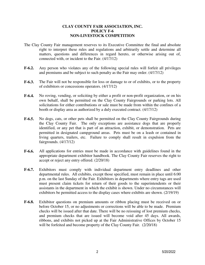#### **CLAY COUNTY FAIR ASSOCIATION, INC. POLICY F-6 NON-LIVESTOCK COMPETITION**

- The Clay County Fair management reserves to its Executive Committee the final and absolute right to interpret these rules and regulations and arbitrarily settle and determine all matters, questions and differences in regard hereto, or otherwise arising out of, connected with, or incident to the Fair. (4/17/12)
- **F-6.2.** Any person who violates any of the following special rules will forfeit all privileges and premiums and be subject to such penalty as the Fair may order. (4/17/12)
- **F-6.3.** The Fair will not be responsible for loss or damage to or of exhibits, or to the property of exhibitors or concessions operators. (4/17/12)
- **F-6.4.** No roving, vending, or soliciting by either a profit or non-profit organization, or on his own behalf, shall be permitted on the Clay County Fairgrounds or parking lots. All solicitations for either contributions or sale must be made from within the confines of a booth or display area as authorized by a duly executed contract. (4/17/12)
- **F-6.5.** No dogs, cats, or other pets shall be permitted on the Clay County Fairgrounds during the Clay County Fair. The only exceptions are assistance dogs that are properly identified, or any pet that is part of an attraction, exhibit, or demonstration. Pets are permitted in designated campground areas. Pets must be on a leash or contained in living quarters, trailers, etc. Failure to comply shall result in expulsion from the fairgrounds. (4/17/12)
- **F-6.6.** All applications for entries must be made in accordance with guidelines found in the appropriate department exhibitor handbook. The Clay County Fair reserves the right to accept or reject any entry offered. (2/20/18)
- **F-6.7.** Exhibitors must comply with individual department entry deadlines and other departmental rules. All exhibits, except those specified, must remain in place until 6:00 p.m. on the last Sunday of the Fair. Exhibitors in departments where entry tags are used must present claim tickets for return of their goods to the superintendents or their assistants in the department in which the exhibit is shown. Under no circumstances will exhibitors be permitted access to the display cases where exhibits are shown. (2/19/19)
- **F-6.8.** Exhibitor questions on premium amounts or ribbon placing must be received on or before October 15, or no adjustments or corrections will be able to be made. Premium checks will be issued after that date. There will be no reissuing of lost premium checks, and premium checks that are issued will become void after 45 days. All awards, ribbons, and exhibits not picked up at the Fair Administrative Offices by October 15 will be forfeited and become property of the Clay County Fair. (2/20/18)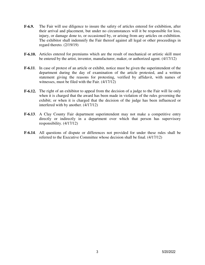- **F-6.9.** The Fair will use diligence to insure the safety of articles entered for exhibition, after their arrival and placement, but under no circumstances will it be responsible for loss, injury, or damage done to, or occasioned by, or arising from any articles on exhibition. The exhibitor shall indemnify the Fair thereof against all legal or other proceedings in regard thereto. (2/19/19)
- **F-6.10.** Articles entered for premiums which are the result of mechanical or artistic skill must be entered by the artist, inventor, manufacturer, maker, or authorized agent. (4/17/12)
- **F-6.11**. In case of protest of an article or exhibit, notice must be given the superintendent of the department during the day of examination of the article protested, and a written statement giving the reasons for protesting, verified by affidavit, with names of witnesses, must be filed with the Fair. (4/17/12)
- **F-6.12.** The right of an exhibitor to appeal from the decision of a judge to the Fair will lie only when it is charged that the award has been made in violation of the rules governing the exhibit; or when it is charged that the decision of the judge has been influenced or interfered with by another. (4/17/12)
- F-6.13. A Clay County Fair department superintendent may not make a competitive entry directly or indirectly in a department over which that person has supervisory responsibility. (4/17/12)
- **F-6.14**. All questions of dispute or differences not provided for under these rules shall be referred to the Executive Committee whose decision shall be final. (4/17/12)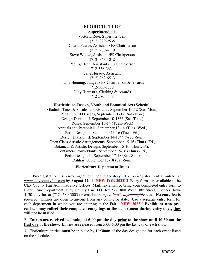#### **FLORICULTURE Superintendents**

Victoria Rute, Superintendent (712) 320-2535 Charla Pearce, Assistant / FS Chairperson (712) 260-4119 Steve Wolter, Assistant /FS Chairperson (712) 363-4012 Peg Egertsen, Assistant / FS Chairperson 712-358-2624 Jane Hussey, Assistant (712) 262-6513 Twila Henning, Judges / FS Chairperson & Awards 712-363-1218 Judy Hiemstra, Clerking & Awards 712-580-4443

#### **Horticulture, Design, Youth and Botanical Arts Schedule**

Gladioli, Trees & Shrubs, and Gourds, September 10-12 (Sat.-Mon.) Petite Gourd Designs, September 10-12 (Sat.-Mon.) Design Division I, September 10-13\*\* (Sat.-Tues.) Roses, September 13-14 (Tues.-Wed.) Annuals and Perennials, September 13-14 (Tues.-Wed.) Petite Designs I, September 13-16 (Tues.-Fri.) Design Division II, September 14-18\*\* (Wed.-Sun.) Open Class Artistic Arrangements, September 15-16 (Thurs.-Fri.) Botanical & Artistic Designs September 15-16 (Thurs.-Fri.) Container-Grown Plants, September 15-16 (Thurs.-Fri.) Petite Designs II, September 17-18 (Sat.-Sun.) Dahlias, September 17-18 (Sat.-Sun.)

#### **Floriculture Department Rules**

1. Pre-registration is encouraged but not mandatory. To pre-register, enter online at [www.claycountyfair.com](http://www.claycountyfair.com/) by **August 22nd**. **NEW FOR 2022!!!** Entry forms are available at the Clay County Fair Administrative Offices. Mail, fax email or bring your completed entry form to Floriculture Department, Clay County Fair, PO Box 527, 800 West 18th Street, Spencer, Iowa 51301, by fax at (712) 580-3003 or email to *competition@claycountyfair.com*. No entry fee is required. Entries are open to anyone from any county or state. Use a separate entry form for each department in which you are entering at the Fair. **NEW 2022!! Exhibitors who preregister may collect their completed entry tags at the department during entry days, they will not be mailed**.

2. **Entries are received beginning at 6:00 pm the day prior to the show until 10:30 am the**  first day of the show. Entries are released from 5:00-6:00 pm the last day of each show.

3. Floriculture entries **must** be in place by **10:30am** of the day designated for each event listed on the schedule.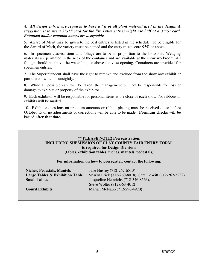#### 4. *All design entries are required to have a list of all plant material used in the design. A suggestion is to use a 3"x5" card for the list. Petite entries might use half of a 3"x5" card. Botanical and/or common names are acceptable.*

5. Award of Merit may be given to the best entries as listed in the schedule. To be eligible for the Award of Merit, the variety **must** be named and the entry **must** score 95% or above.

6. In specimen classes, stem and foliage are to be in proportion to the blossoms. Wedging materials are permitted in the neck of the container and are available at the show workroom. All foliage should be above the water line, or above the vase opening. Containers are provided for specimen entries.

7. The Superintendent shall have the right to remove and exclude from the show any exhibit or part thereof which is unsightly.

8. While all possible care will be taken, the management will not be responsible for loss or damage to exhibits or property of the exhibitor.

9. Each exhibitor will be responsible for personal items at the close of **each** show. No ribbons or exhibits will be mailed.

10. Exhibitor questions on premium amounts or ribbon placing must be received on or before October 15 or no adjustments or corrections will be able to be made. **Premium checks will be issued after that date.** 

#### **\*\* PLEASE NOTE! Preregistration, INCLUDING SUBMISSION OF CLAY COUNTY FAIR ENTRY FORM***,*  **is required for Design Divisions (tables, exhibition tables, niches, mantels, pedestals)**

#### **For information on how to preregister, contact the following:**

| <b>Niches, Pedestals, Mantels</b>          | Jane Hussey (712-262-6513)                              |
|--------------------------------------------|---------------------------------------------------------|
| <b>Large Tables &amp; Exhibition Table</b> | Sharan Erick (712-260-8018), Sara DeWitt (712-262-5232) |
| <b>Small Tables</b>                        | Jacqueline Heinrichs (712-346-8563),                    |
|                                            | Steve Wolter (712)363-4012                              |
| <b>Gourd Exhibits</b>                      | Marian McNabb (712-296-4920)                            |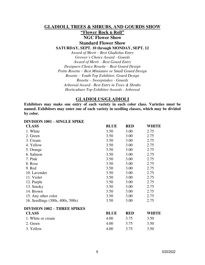#### **GLADIOLI, TREES & SHRUBS, AND GOURDS SHOW**

# **"Flower Rock n Roll"**

**NGC Flower Show** 

**Standard Flower Show**

**SATURDAY, SEPT. 10 through MONDAY, SEPT. 12** 

*Award of Merit – Best Gladiolus Entry Grower's Choice Award - Gourds Award of Merit – Best Gourd Entry Designers Choice Rosette – Best Gourd Design Petite Rosette – Best Miniature or Small Gourd Design Rosette – Youth Top Exhibitor, Gourd Design Rosette – Sweepstakes - Gourds Arboreal Award - Best Entry in Trees & Shrubs Horticulture Top Exhibitor Awards - Arboreal* 

#### **GLADIOLUS/GLADIOLI**

**Exhibitors may make one entry of each variety in each color class. Varieties must be named. Exhibitors may enter one of each variety in seedling classes, which may be divided by color.** 

#### **DIVISION 1001 – SINGLE SPIKE**

| <b>CLASS</b>                        | <b>BLUE</b> | <b>RED</b> | <b>WHITE</b> |
|-------------------------------------|-------------|------------|--------------|
| 1. White                            | 3.50        | 3.00       | 2.75         |
| 2. Green                            | 3.50        | 3.00       | 2.75         |
| 3. Cream                            | 3.50        | 3.00       | 2.75         |
| 4. Yellow                           | 3.50        | 3.00       | 2.75         |
| 5. Orange                           | 3.50        | 3.00       | 2.75         |
| 6. Salmon                           | 3.50        | 3.00       | 2.75         |
| 7. Pink                             | 3.50        | 3.00       | 2.75         |
| 8. Rose                             | 3.50        | 3.00       | 2.75         |
| 9. Red                              | 3.50        | 3.00       | 2.75         |
| 10. Lavender                        | 3.50        | 3.00       | 2.75         |
| 11. Violet                          | 3.50        | 3.00       | 2.75         |
| 12. Purple                          | 3.50        | 3.00       | 2.75         |
| 13. Smoky                           | 3.50        | 3.00       | 2.75         |
| 14. Brown                           | 3.50        | 3.00       | 2.75         |
| 15. Any other color                 | 3.50        | 3.00       | 2.75         |
| 16. Seedlings (300s, 400s, 500s)    | 3.50        | 3.00       | 2.75         |
| <b>DIVISION 1002 – THREE SPIKES</b> |             |            |              |
| <b>CLASS</b>                        | <b>BLUE</b> | <b>RED</b> | <b>WHITE</b> |
| 1. White or cream                   | 4.00        | 3.75       | 3.50         |
| 2. Green                            | 4.00        | 3.75       | 3.50         |
| 3. Yellow                           | 4.00        | 3.75       | 3.50         |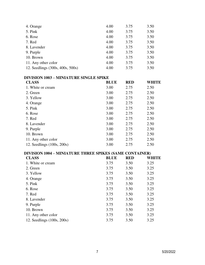| 4. Orange                                               | 4.00        | 3.75       | 3.50         |
|---------------------------------------------------------|-------------|------------|--------------|
| 5. Pink                                                 | 4.00        | 3.75       | 3.50         |
| 6. Rose                                                 | 4.00        | 3.75       | 3.50         |
| 7. Red                                                  | 4.00        | 3.75       | 3.50         |
| 8. Lavender                                             | 4.00        | 3.75       | 3.50         |
| 9. Purple                                               | 4.00        | 3.75       | 3.50         |
| 10. Brown                                               | 4.00        | 3.75       | 3.50         |
| 11. Any other color                                     | 4.00        | 3.75       | 3.50         |
| 12. Seedlings (300s, 400s, 500s)                        | 4.00        | 3.75       | 3.50         |
| DIVISION 1003 – MINIATURE SINGLE SPIKE                  |             |            |              |
| <b>CLASS</b>                                            | <b>BLUE</b> | <b>RED</b> | <b>WHITE</b> |
| 1. White or cream                                       | 3.00        | 2.75       | 2.50         |
| 2. Green                                                | 3.00        | 2.75       | 2.50         |
| 3. Yellow                                               | 3.00        | 2.75       | 2.50         |
| 4. Orange                                               | 3.00        | 2.75       | 2.50         |
| 5. Pink                                                 | 3.00        | 2.75       | 2.50         |
| 6. Rose                                                 | 3.00        | 2.75       | 2.50         |
| 7. Red                                                  | 3.00        | 2.75       | 2.50         |
| 8. Lavender                                             | 3.00        | 2.75       | 2.50         |
| 9. Purple                                               | 3.00        | 2.75       | 2.50         |
| 10. Brown                                               | 3.00        | 2.75       | 2.50         |
| 11. Any other color                                     | 3.00        | 2.75       | 2.50         |
| 12. Seedlings (100s, 200s)                              | 3.00        | 2.75       | 2.50         |
| DIVISION 1004 – MINIATURE THREE SPIKES (SAME CONTAINER) |             |            |              |
| <b>CLASS</b>                                            | <b>BLUE</b> | <b>RED</b> | <b>WHITE</b> |
| 1. White or cream                                       | 3.75        | 3.50       | 3.25         |
| 2. Green                                                | 3.75        | 3.50       | 3.25         |
| 3. Yellow                                               | 3.75        | 3.50       | 3.25         |
| 4. Orange                                               | 3.75        | 3.50       | 3.25         |
| 5. Pink                                                 | 3.75        | 3.50       | 3.25         |
| 6. Rose                                                 | 3.75        | 3.50       | 3.25         |
| 7. Red                                                  | 3.75        | 3.50       | 3.25         |
| 8. Lavender                                             | 3.75        | 3.50       | 3.25         |
| 9. Purple                                               | 3.75        | 3.50       | 3.25         |
| 10. Brown                                               | 3.75        | 3.50       | 3.25         |
| 11. Any other color                                     | 3.75        | 3.50       | 3.25         |

12. Seedlings (100s, 200s) 3.75 3.50 3.25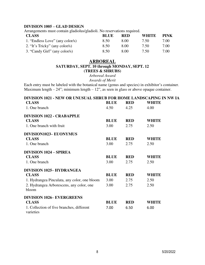#### **DIVISION 1005 – GLAD DESIGN**

Arrangements must contain gladiolus/gladioli. No reservations required.

| <b>CLASS</b>                    | <b>BLUE</b> | RED  | <b>WHITE</b> | <b>PINK</b> |
|---------------------------------|-------------|------|--------------|-------------|
| 1. "Endless Love" (any color/s) | 8.50        | 8.00 | 7.50         | 7.00        |
| 2. "It's Tricky" (any color/s)  | 8.50        | 8.00 | 7.50         | 7.00        |
| 3. "Candy Girl" (any color/s)   | 8.50        | 8.00 | 7.50         | 7.00        |

## **ARBOREAL**

**SATURDAY, SEPT. 10 through MONDAY, SEPT. 12** 

**(TREES & SHRUBS)** 

*Arboreal Award* 

*Awards of Merit* 

Each entry must be labeled with the botanical name (genus and species) in exhibitor's container. Maximum length – 24"; minimum length – 12", as seen in glass or above opaque container.

| DIVISION 1021 - NEW OR UNUSUAL SHRUB FOR HOME LANDSCAPING IN NW IA |             |            |              |
|--------------------------------------------------------------------|-------------|------------|--------------|
| <b>CLASS</b>                                                       | <b>BLUE</b> | <b>RED</b> | <b>WHITE</b> |
| 1. One branch                                                      | 4.50        | 4.25       | 4.00         |
| <b>DIVISION 1022 - CRABAPPLE</b>                                   |             |            |              |
| <b>CLASS</b>                                                       | <b>BLUE</b> | <b>RED</b> | <b>WHITE</b> |
| 1. One branch with fruit                                           | 3.00        | 2.75       | 2.50         |
| DIVISION1023-EUONYMUS                                              |             |            |              |
| <b>CLASS</b>                                                       | <b>BLUE</b> | <b>RED</b> | <b>WHITE</b> |
| 1. One branch                                                      | 3.00        | 2.75       | 2.50         |
| <b>DIVISION 1024 – SPIREA</b>                                      |             |            |              |
| <b>CLASS</b>                                                       | <b>BLUE</b> | <b>RED</b> | <b>WHITE</b> |
| 1. One branch                                                      | 3.00        | 2.75       | 2.50         |
| <b>DIVISION 1025-HYDRANGEA</b>                                     |             |            |              |
| <b>CLASS</b>                                                       | <b>BLUE</b> | <b>RED</b> | <b>WHITE</b> |
| 1. Hydrangea Pinculata, any color, one bloom                       | 3.00        | 2.75       | 2.50         |
| 2. Hydrangea Arborescens, any color, one<br>bloom                  | 3.00        | 2.75       | 2.50         |
| <b>DIVISION 1026-EVERGREENS</b>                                    |             |            |              |
| <b>CLASS</b>                                                       | <b>BLUE</b> | <b>RED</b> | <b>WHITE</b> |
| 1. Collection of five branches, different<br>varieties             | 7.00        | 6.50       | 6.00         |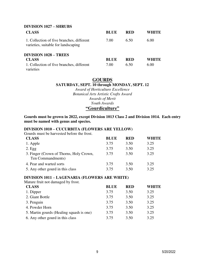#### **DIVISION 1027 – SHRUBS**

| <b>CLASS</b>                                                                     | <b>BLUE</b> | <b>RED</b> | WHITE |
|----------------------------------------------------------------------------------|-------------|------------|-------|
| 1. Collection of five branches, different<br>varieties, suitable for landscaping | 7.00        | 6.50       | 6.00  |
| <b>DIVISION 1028 – TREES</b>                                                     |             |            |       |
| <b>CLASS</b>                                                                     | <b>BLUE</b> | <b>RED</b> | WHITE |
| 1. Collection of five branches, different<br>varieties                           | 7.00        | 6.50       | 6.00  |

## **GOURDS SATURDAY, SEPT. 10 through MONDAY, SEPT. 12**

*Award of Horticulture Excellence Botanical Arts Artistic Crafts Award Awards of Merit Youth Awards*  **"Gourdiculture"**

**Gourds must be grown in 2022, except Division 1013 Class 2 and Division 1014. Each entry must be named with genus and species.** 

#### **DIVISION 1010 – CUCURBITA (FLOWERS ARE YELLOW)**

Gourds must be harvested before the frost.

| <b>CLASS</b>                                                 | <b>BLUE</b> | <b>RED</b> | WHITE |
|--------------------------------------------------------------|-------------|------------|-------|
| 1. Apple                                                     | 3.75        | 3.50       | 3.25  |
| $2.$ Egg                                                     | 3.75        | 3.50       | 3.25  |
| 3. Finger (Crown of Thorns, Holy Crown,<br>Ten Commandments) | 3.75        | 3.50       | 3.25  |
| 4. Pear and warted sorts                                     | 3.75        | 3.50       | 3.25  |
| 5. Any other gourd in this class                             | 3.75        | 3.50       | 3.25  |

#### **DIVISION 1011 – LAGENARIA (FLOWERS ARE WHITE)**

| Mature fruit not damaged by frost.       |             |            |              |
|------------------------------------------|-------------|------------|--------------|
| <b>CLASS</b>                             | <b>BLUE</b> | <b>RED</b> | <b>WHITE</b> |
| 1. Dipper                                | 3.75        | 3.50       | 3.25         |
| 2. Giant Bottle                          | 3.75        | 3.50       | 3.25         |
| 3. Penguin                               | 3.75        | 3.50       | 3.25         |
| 4. Powder Horn                           | 3.75        | 3.50       | 3.25         |
| 5. Martin gourds (Healing squash is one) | 3.75        | 3.50       | 3.25         |
| 6. Any other gourd in this class         | 3.75        | 3.50       | 3.25         |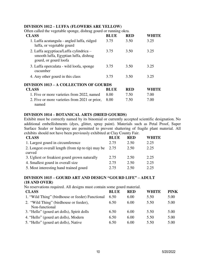#### **DIVISION 1012 – LUFFA (FLOWERS ARE YELLOW)**

Often called the vegetable sponge, dishrag gourd or running okra.

| <b>CLASS</b>                                                                                             | <b>BLUE</b> | <b>RED</b> | WHITE        |
|----------------------------------------------------------------------------------------------------------|-------------|------------|--------------|
| 1. Luffa acutangula - angled luffa, ridged<br>luffa, or vegetable gourd                                  | 3.75        | 3.50       | 3.25         |
| 2. Luffa aegyptiaca/Luffa cylindrica -<br>smooth luffa, Egyptian luffa, dishrag<br>gourd, or gourd loofa | 3.75        | 3.50       | 3.25         |
| 3. Luffa operculata - wild loofa, sponge<br>cucumber                                                     | 3.75        | 3.50       | 3.25         |
| 4. Any other gourd in this class                                                                         | 3.75        | 3.50       | 3.25         |
| <b>DIVISION 1013 – A COLLECTION OF GOURDS</b>                                                            |             |            |              |
| <b>CLASS</b>                                                                                             | <b>BLUE</b> | <b>RED</b> | <b>WHITE</b> |
| 1. Five or more varieties from 2022, named                                                               | 8.00        | 7.50       | 7.00         |
| 2. Five or more varieties from 2021 or prior,<br>named                                                   | 8.00        | 7.50       | 7.00         |

#### **DIVISION 1014 – BOTANICAL ARTS (DRIED GOURDS)**

Exhibit must be correctly named by its binomial or currently accepted scientific designation. No additional embellishments (dyes, glitter, spray paint). Materials such as Petal Proof, Super Surface Sealer or hairspray are permitted to prevent shattering of fragile plant material. All exhibits should not have been previously exhibited at Clay County Fair.

| <b>CLASS</b>                                       | <b>BLUE</b> | <b>RED</b> | WHITE |
|----------------------------------------------------|-------------|------------|-------|
| 1. Largest gourd in circumference                  | 2.75        | 2.50       | 2.25  |
| 2. Longest overall length (from tip to tip) may be | 2.75        | 2.50       | 2.25  |
| curved                                             |             |            |       |
| 3. Ugliest or freakiest gourd grown naturally      | 2.75        | 2.50       | 2.25  |
| 4. Smallest gourd in overall size                  | 2.75        | 2.50       | 2.25  |
| 5. Most interesting hand trained gourd             | 2.75        | 2.50       | 2.25  |

#### **DIVISION 1015 – GOURD ART AND DESIGN "GOURD LIFE" – ADULT (18 AND OVER)**

No reservations required. All designs must contain some gourd material.

| <b>CLASS</b>                                     | <b>BLUE</b> | <b>RED</b> | <b>WHITE</b> | <b>PINK</b> |
|--------------------------------------------------|-------------|------------|--------------|-------------|
| 1. "Wild Thing" (birdhouse or feeder) Functional | 6.50        | 6.00       | 5.50         | 5.00        |
| 2. "Wild Thing" (birdhouse or feeder),           | 6.50        | 6.00       | 5.50         | 5.00        |
| Non-functional                                   |             |            |              |             |
| 3. "Hello" (gourd art dolls), Spirit dolls       | 6.50        | 6.00       | 5.50         | 5.00        |
| 4. "Hello" (gourd art dolls), Modern             | 6.50        | 6.00       | 5.50         | 5.00        |
| 5. "Hello" (gourd art dolls), Native             | 6.50        | 6.00       | 5.50         | 5.00        |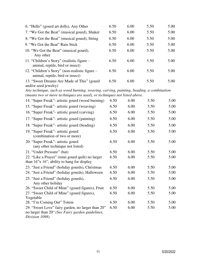| 6. "Hello" (gourd art dolls), Any Other                                                                                                                             | 6.50 | 6.00 | 5.50 | 5.00 |
|---------------------------------------------------------------------------------------------------------------------------------------------------------------------|------|------|------|------|
| 7. "We Got the Beat" (musical gourd), Shaker                                                                                                                        | 6.50 | 6.00 | 5.50 | 5.00 |
| 8. "We Got the Beat" (musical gourd), String                                                                                                                        | 6.50 | 6.00 | 5.50 | 5.00 |
| 9. "We Got the Beat" Rain Stick                                                                                                                                     | 6.50 | 6.00 | 5.50 | 5.00 |
| 10. "We Got the Beat" (musical gourd),<br>Any other                                                                                                                 | 6.50 | 6.00 | 5.50 | 5.00 |
| 11. "Children's Story" (realistic figure -<br>animal, reptile, bird or insect)                                                                                      | 6.50 | 6.00 | 5.50 | 5.00 |
| 12. "Children's Story" (non-realistic figure –<br>animal, reptile, bird or insect)                                                                                  | 6.50 | 6.00 | 5.50 | 5.00 |
| 13. "Sweet Dreams Are Made of This" (gourd<br>and/or seed jewelry)                                                                                                  | 6.50 | 6.00 | 5.50 | 5.00 |
| Any technique, such as wood burning, weaving, carving, painting, beading, a combination<br>(means two or more techniques are used), or techniques not listed above. |      |      |      |      |
| 14. "Super Freak" - artistic gourd (wood burning)                                                                                                                   | 6.50 | 6.00 | 5.50 | 5.00 |
| 15. "Super Freak" artistic gourd (weaving)                                                                                                                          | 6.50 | 6.00 | 5.50 | 5.00 |
| 16. "Super Freak" - artistic gourd (carving)                                                                                                                        | 6.50 | 6.00 | 5.50 | 5.00 |
| 17. "Super Freak"- artistic gourd (painting)                                                                                                                        | 6.50 | 6.00 | 5.50 | 5.00 |
| 18. "Super Freak" artistic gourd (beading)                                                                                                                          | 6.50 | 6.00 | 5.50 | 5.00 |
| 19. "Super Freak" - artistic gourd<br>(combination of two or more)                                                                                                  | 6.50 | 6.00 | 5.50 | 5.00 |
| 20. "Super Freak" - artistic gourd<br>(any other technique not listed)                                                                                              | 6.50 | 6.00 | 5.50 | 5.00 |
| 21. "Under Pressure" (hat)                                                                                                                                          | 6.50 | 6.00 | 5.50 | 5.00 |
| 22. "Like a Prayer" (mini gourd quilt) no larger<br>than $16$ "x $16$ ", ability to hang for display                                                                | 6.50 | 6.00 | 5.50 | 5.00 |
| 23. "Just a Friend" (holiday gourds), Christmas                                                                                                                     | 6.50 | 6.00 | 5.50 | 5.00 |
| 24. "Just a Friend" (holiday gourds), Halloween                                                                                                                     | 6.50 | 6.00 | 5.50 | 5.00 |
| 25. "Just a Friend" (holiday gourds),<br>Any other holiday                                                                                                          | 6.50 | 6.00 | 5.50 | 5.00 |
| 26. "Sweet Child of Mine" (gourd figures), Fruit                                                                                                                    | 6.50 | 6.00 | 5.50 | 5.00 |
| 27. "Sweet Child of Mine" (gourd figures),<br>Vegetable                                                                                                             | 6.50 | 6.00 | 5.50 | 5.00 |
| 28. "I'm Coming Out" Totem                                                                                                                                          | 6.50 | 6.00 | 5.50 | 5.00 |
| 29. "Sweet Love" fairy garden, no larger than 20"<br>no larger than 20" (See Fairy garden guidelines,<br>Division 1098)                                             | 6.50 | 6.00 | 5.50 | 5.00 |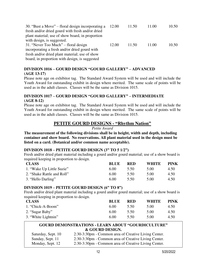| 30. "Bust a Move" – floral design incorporating a<br>fresh and/or dried gourd with fresh and/or dried<br>plant material; use of show board, in proportion<br>with design, is suggested. | 12.00 | 11.50 | 11.00 | 10.50 |
|-----------------------------------------------------------------------------------------------------------------------------------------------------------------------------------------|-------|-------|-------|-------|
| 31. "Never Too Much" – floral design                                                                                                                                                    | 12.00 | 11.50 | 11.00 | 10.50 |
| incorporating a fresh and/or dried gourd with<br>fresh and/or dried plant material; use of show                                                                                         |       |       |       |       |
| board, in proportion with design, is suggested                                                                                                                                          |       |       |       |       |

#### **DIVISION 1016 – GOURD DESIGN "GOURD GALLERY" – ADVANCED (AGE 13-17)**

Please note age on exhibitor tag. The Standard Award System will be used and will include the Youth Award for outstanding exhibit in design where merited. The same scale of points will be used as in the adult classes. Classes will be the same as Division 1015.

#### **DIVISION 1017 – GOURD DESIGN "GOURD GALLERY" – INTERMEDIATE (AGE 8-12)**

Please note age on exhibitor tag. The Standard Award System will be used and will include the Youth Award for outstanding exhibit in design where merited. The same scale of points will be used as in the adult classes. Classes will be the same as Division 1015.

## **PETITE GOURD DESIGNS - "Rhythm Nation"**

*Petite Award*

**The measurement of the following divisions shall be in height, width and depth, including container and show board. No reservations. All plant material used in the design must be listed on a card. (Botanical and/or common name acceptable).** 

## **DIVISION 1018 – PETITE GOURD DESIGN (3" TO 5 1/2")**

Fresh and/or dried plant material including a gourd and/or gourd material; use of a show board is required keeping in proportion to design.

| <b>CLASS</b>               | BLUE | <b>RED</b> | <b>WHITE</b> | <b>PINK</b> |
|----------------------------|------|------------|--------------|-------------|
| 1. "Wake Up Little Suzie"  | 6.00 | 5.50       | 5.00         | 4.50        |
| 2. "Shake Rattle and Roll" | 6.00 | 5.50       | 5.00         | 4.50        |
| 3. "Hello Darling"         | 6.00 | 5.50       | 5.00         | 4.50        |

## **DIVISION 1019 – PETITE GOURD DESIGN (6" TO 8")**

Fresh and/or dried plant material including a gourd and/or gourd material; use of a show board is required keeping in proportion to design.

| .<br>ັ<br><b>CLASS</b> | <b>BLUE</b> | <b>RED</b> | <b>WHITE</b> | PINK |
|------------------------|-------------|------------|--------------|------|
| 1. "Chick-A-Boom"      | 6.00        | 5.50       | 5.00         | 4.50 |
| 2. "Sugar Baby"        | 6.00        | 5.50       | 5.00         | 4.50 |
| 3. "White Lightnin"    | 6.00        | 5.50       | 5.00         | 4.50 |

#### **GOURD DEMONSTRATIONS - LEARN ABOUT "GOURDICULTURE" & GOURD DESIGN.**

| Saturday, Sept. 10 | 2:30-3:30pm - Common area of Creative Living Center. |
|--------------------|------------------------------------------------------|
| Sunday, Sept. 11   | 2:30-3:30pm - Common area of Creative Living Center. |
| Monday, Sept. 12   | 2:30-3:30pm - Common area of Creative Living Center. |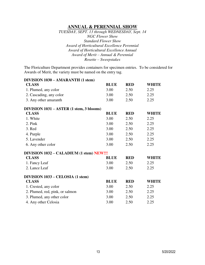## **ANNUAL & PERENNIAL SHOW**

*TUESDAY, SEPT. 13 through WEDNESDAY, Sept. 14 NGC Flower Show Standard Flower Show Award of Horticultural Excellence Perennial Award of Horticultural Excellence Annual Award of Merit – Annual & Perennial Rosette – Sweepstakes* 

The Floriculture Department provides containers for specimen entries. To be considered for Awards of Merit, the variety must be named on the entry tag.

| <b>DIVISION 1030 - AMARANTH (1 stem)</b> |             |            |              |
|------------------------------------------|-------------|------------|--------------|
| <b>CLASS</b>                             | <b>BLUE</b> | <b>RED</b> | <b>WHITE</b> |
| 1. Plumed, any color                     | 3.00        | 2.50       | 2.25         |
| 2. Cascading, any color                  | 3.00        | 2.50       | 2.25         |
| 3. Any other amaranth                    | 3.00        | 2.50       | 2.25         |
| DIVISION 1031 - ASTER (1 stem, 3 blooms) |             |            |              |
| <b>CLASS</b>                             | <b>BLUE</b> | <b>RED</b> | <b>WHITE</b> |
| 1. White                                 | 3.00        | 2.50       | 2.25         |
| 2. Pink                                  | 3.00        | 2.50       | 2.25         |
| 3. Red                                   | 3.00        | 2.50       | 2.25         |
| 4. Purple                                | 3.00        | 2.50       | 2.25         |
| 5. Lavender                              | 3.00        | 2.50       | 2.25         |
| 6. Any other color                       | 3.00        | 2.50       | 2.25         |
| DIVISION 1032 – CALADIUM (1 stem) NEW!!! |             |            |              |
| <b>CLASS</b>                             | <b>BLUE</b> | <b>RED</b> | <b>WHITE</b> |
| 1. Fancy Leaf                            | 3.00        | 2.50       | 2.25         |
| 2. Lance Leaf                            | 3.00        | 2.50       | 2.25         |
| DIVISION 1033 - CELOSIA (1 stem)         |             |            |              |
| <b>CLASS</b>                             | <b>BLUE</b> | <b>RED</b> | <b>WHITE</b> |
| 1. Crested, any color                    | 3.00        | 2.50       | 2.25         |
| 2. Plumed, red, pink, or salmon          | 3.00        | 2.50       | 2.25         |
| 3. Plumed, any other color               | 3.00        | 2.50       | 2.25         |
| 4. Any other Celosia                     | 3.00        | 2.50       | 2.25         |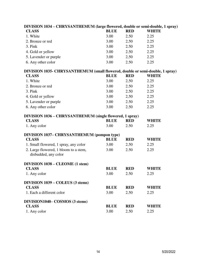| $\mu$ , $\mu$ , $\mu$ , $\mu$ , $\mu$ , $\mu$ , $\mu$ , $\mu$ , $\mu$ , $\mu$ , $\mu$ , $\mu$ , $\mu$ , $\mu$ , $\mu$ , $\mu$ , $\mu$ , $\mu$ , $\mu$ , $\mu$ , $\mu$ , $\mu$ , $\mu$ , $\mu$ , $\mu$ , $\mu$ , $\mu$ , $\mu$ , $\mu$ , $\mu$ , $\mu$ , $\mu$ |             |            |              |  |
|---------------------------------------------------------------------------------------------------------------------------------------------------------------------------------------------------------------------------------------------------------------|-------------|------------|--------------|--|
| <b>CLASS</b>                                                                                                                                                                                                                                                  | <b>BLUE</b> | <b>RED</b> | <b>WHITE</b> |  |
| 1. White                                                                                                                                                                                                                                                      | 3.00        | 2.50       | 2.25         |  |
| 2. Bronze or red                                                                                                                                                                                                                                              | 3.00        | 2.50       | 2.25         |  |
| 3. Pink                                                                                                                                                                                                                                                       | 3.00        | 2.50       | 2.25         |  |
| 4. Gold or yellow                                                                                                                                                                                                                                             | 3.00        | 2.50       | 2.25         |  |
| 5. Lavender or purple                                                                                                                                                                                                                                         | 3.00        | 2.50       | 2.25         |  |
| 6. Any other color                                                                                                                                                                                                                                            | 3.00        | 2.50       | 2.25         |  |
| DIVISION 1035- CHRYSANTHEMUM (small flowered, double or semi-double, 1 spray)                                                                                                                                                                                 |             |            |              |  |
| <b>CLASS</b>                                                                                                                                                                                                                                                  | <b>BLUE</b> | <b>RED</b> | <b>WHITE</b> |  |
| 1. White                                                                                                                                                                                                                                                      | 3.00        | 2.50       | 2.25         |  |
| 2. Bronze or red                                                                                                                                                                                                                                              | 3.00        | 2.50       | 2.25         |  |
| 3. Pink                                                                                                                                                                                                                                                       | 3.00        | 2.50       | 2.25         |  |
| 4. Gold or yellow                                                                                                                                                                                                                                             | 3.00        | 2.50       | 2.25         |  |
| 5. Lavender or purple                                                                                                                                                                                                                                         | 3.00        | 2.50       | 2.25         |  |
| 6. Any other color                                                                                                                                                                                                                                            | 3.00        | 2.50       | 2.25         |  |
| DIVISION 1036 – CHRYSANTHEMUM (single flowered, 1 spray)                                                                                                                                                                                                      |             |            |              |  |
| <b>CLASS</b>                                                                                                                                                                                                                                                  | <b>BLUE</b> | <b>RED</b> | <b>WHITE</b> |  |
| 1. Any color                                                                                                                                                                                                                                                  | 3.00        | 2.50       | 2.25         |  |
| DIVISION 1037- CHRYSANTHEMUM (pompon type)                                                                                                                                                                                                                    |             |            |              |  |
| <b>CLASS</b>                                                                                                                                                                                                                                                  | <b>BLUE</b> | <b>RED</b> | <b>WHITE</b> |  |
| 1. Small flowered, 1 spray, any color                                                                                                                                                                                                                         | 3.00        | 2.50       | 2.25         |  |
| 2. Large flowered, 1 bloom to a stem,<br>disbudded, any color                                                                                                                                                                                                 | 3.00        | 2.50       | 2.25         |  |
| DIVISION 1038 - CLEOME (1 stem)                                                                                                                                                                                                                               |             |            |              |  |
| <b>CLASS</b>                                                                                                                                                                                                                                                  | <b>BLUE</b> | <b>RED</b> | <b>WHITE</b> |  |
| 1. Any color                                                                                                                                                                                                                                                  | 3.00        | 2.50       | 2.25         |  |
| DIVISION 1039 – COLEUS (3 stems)                                                                                                                                                                                                                              |             |            |              |  |
| <b>CLASS</b>                                                                                                                                                                                                                                                  | <b>BLUE</b> | <b>RED</b> | <b>WHITE</b> |  |
| 1. Each a different color                                                                                                                                                                                                                                     | 3.00        | 2.50       | 2.25         |  |
| DIVISION1040- COSMOS (3 stems)                                                                                                                                                                                                                                |             |            |              |  |
| <b>CLASS</b>                                                                                                                                                                                                                                                  | <b>BLUE</b> | <b>RED</b> | <b>WHITE</b> |  |
| 1. Any color                                                                                                                                                                                                                                                  | 3.00        | 2.50       | 2.25         |  |

# **DIVISION 1034 – CHRYSANTHEMUM (large flowered, double or semi-double, 1 spray)**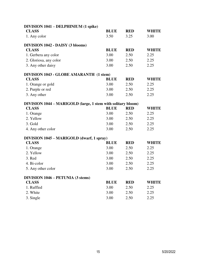| <b>DIVISION 1041 – DELPHINIUM (1 spike)</b>                  |             |            |              |
|--------------------------------------------------------------|-------------|------------|--------------|
| <b>CLASS</b>                                                 | <b>BLUE</b> | <b>RED</b> | <b>WHITE</b> |
| 1. Any color                                                 | 3.50        | 3.25       | 3.00         |
| DIVISION 1042 - DAISY (3 blooms)                             |             |            |              |
| <b>CLASS</b>                                                 | <b>BLUE</b> | <b>RED</b> | <b>WHITE</b> |
| 1. Gerbera any color                                         | 3.00        | 2.50       | 2.25         |
| 2. Gloriosa, any color                                       | 3.00        | 2.50       | 2.25         |
| 3. Any other daisy                                           | 3.00        | 2.50       | 2.25         |
| <b>DIVISION 1043 - GLOBE AMARANTH (1 stem)</b>               |             |            |              |
| <b>CLASS</b>                                                 | <b>BLUE</b> | <b>RED</b> | <b>WHITE</b> |
| 1. Orange or gold                                            | 3.00        | 2.50       | 2.25         |
| 2. Purple or red                                             | 3.00        | 2.50       | 2.25         |
| 3. Any other                                                 | 3.00        | 2.50       | 2.25         |
| DIVISION 1044 – MARIGOLD (large, 1 stem with solitary bloom) |             |            |              |
| <b>CLASS</b>                                                 | <b>BLUE</b> | <b>RED</b> | <b>WHITE</b> |
| 1. Orange                                                    | 3.00        | 2.50       | 2.25         |
| 2. Yellow                                                    | 3.00        | 2.50       | 2.25         |
| 3. Gold                                                      | 3.00        | 2.50       | 2.25         |
| 4. Any other color                                           | 3.00        | 2.50       | 2.25         |
| DIVISION 1045 - MARIGOLD (dwarf, 1 spray)                    |             |            |              |
| <b>CLASS</b>                                                 | <b>BLUE</b> | <b>RED</b> | <b>WHITE</b> |
| 1. Orange                                                    | 3.00        | 2.50       | 2.25         |
| 2. Yellow                                                    | 3.00        | 2.50       | 2.25         |
| 3. Red                                                       | 3.00        | 2.50       | 2.25         |
| 4. Bi-color                                                  | 3.00        | 2.50       | 2.25         |
| 5. Any other color                                           | 3.00        | 2.50       | 2.25         |
| <b>DIVISION 1046 – PETUNIA (3 stems)</b>                     |             |            |              |
| <b>CLASS</b>                                                 | <b>BLUE</b> | <b>RED</b> | WHITE        |
| 1. Ruffled                                                   | 3.00        | 2.50       | 2.25         |
| 2. White                                                     | 3.00        | 2.50       | 2.25         |
| 3. Single                                                    | 3.00        | 2.50       | 2.25         |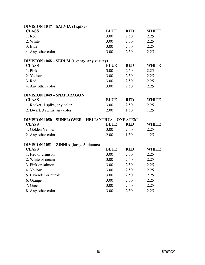| DIVISION 1047 - SALVIA (1 spike)                         |             |            |              |
|----------------------------------------------------------|-------------|------------|--------------|
| <b>CLASS</b>                                             | <b>BLUE</b> | <b>RED</b> | <b>WHITE</b> |
| 1. Red                                                   | 3.00        | 2.50       | 2.25         |
| 2. White                                                 | 3.00        | 2.50       | 2.25         |
| 3. Blue                                                  | 3.00        | 2.50       | 2.25         |
| 4. Any other color                                       | 3.00        | 2.50       | 2.25         |
| DIVISION 1048 – SEDUM (1 spray, any variety)             |             |            |              |
| <b>CLASS</b>                                             | <b>BLUE</b> | <b>RED</b> | <b>WHITE</b> |
| 1. Pink                                                  | 3.00        | 2.50       | 2.25         |
| 2. Yellow                                                | 3.00        | 2.50       | 2.25         |
| 3. Red                                                   | 3.00        | 2.50       | 2.25         |
| 4. Any other color                                       | 3.00        | 2.50       | 2.25         |
| <b>DIVISION 1049 - SNAPDRAGON</b>                        |             |            |              |
| <b>CLASS</b>                                             | <b>BLUE</b> | <b>RED</b> | <b>WHITE</b> |
| 1. Rocket, 1 spike, any color                            | 3.00        | 2.50       | 2.25         |
| 2. Dwarf, 3 stems, any color                             | 2.00        | 1.50       | 1.25         |
| <b>DIVISION 1050 - SUNFLOWER - HELIANTHUS - ONE STEM</b> |             |            |              |
| <b>CLASS</b>                                             | <b>BLUE</b> | <b>RED</b> | <b>WHITE</b> |
| 1. Golden Yellow                                         | 3.00        | 2.50       | 2.25         |
| 2. Any other color                                       | 2.00        | 1.50       | 1.25         |
| <b>DIVISION 1051 – ZINNIA (large, 3 blooms)</b>          |             |            |              |
| <b>CLASS</b>                                             | <b>BLUE</b> | <b>RED</b> | <b>WHITE</b> |
| 1. Red or crimson                                        | 3.00        | 2.50       | 2.25         |
| 2. White or cream                                        | 3.00        | 2.50       | 2.25         |
| 3. Pink or salmon                                        | 3.00        | 2.50       | 2.25         |
| 4. Yellow                                                | 3.00        | 2.50       | 2.25         |
| 5. Lavender or purple                                    | 3.00        | 2.50       | 2.25         |
| 6. Orange                                                | 3.00        | 2.50       | 2.25         |
| 7. Green                                                 | 3.00        | 2.50       | 2.25         |
| 8. Any other color                                       | 3.00        | 2.50       | 2.25         |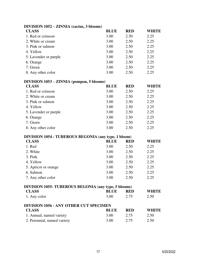| DIVISION $1052 - 211$ NNIA (Cactus, 3 DIOOIIIS)             |             |            |              |
|-------------------------------------------------------------|-------------|------------|--------------|
| <b>CLASS</b>                                                | <b>BLUE</b> | <b>RED</b> | <b>WHITE</b> |
| 1. Red or crimson                                           | 3.00        | 2.50       | 2.25         |
| 2. White or cream                                           | 3.00        | 2.50       | 2.25         |
| 3. Pink or salmon                                           | 3.00        | 2.50       | 2.25         |
| 4. Yellow                                                   | 3.00        | 2.50       | 2.25         |
| 5. Lavender or purple                                       | 3.00        | 2.50       | 2.25         |
| 6. Orange                                                   | 3.00        | 2.50       | 2.25         |
| 7. Green                                                    | 3.00        | 2.50       | 2.25         |
| 8. Any other color                                          | 3.00        | 2.50       | 2.25         |
| DIVISION 1053 – ZINNIA (pompon, 5 blooms)                   |             |            |              |
| <b>CLASS</b>                                                | <b>BLUE</b> | <b>RED</b> | <b>WHITE</b> |
| 1. Red or crimson                                           | 3.00        | 2.50       | 2.25         |
| 2. White or cream                                           | 3.00        | 2.50       | 2.25         |
| 3. Pink or salmon                                           | 3.00        | 2.50       | 2.25         |
| 4. Yellow                                                   | 3.00        | 2.50       | 2.25         |
| 5. Lavender or purple                                       | 3.00        | 2.50       | 2.25         |
| 6. Orange                                                   | 3.00        | 2.50       | 2.25         |
| 7. Green                                                    | 3.00        | 2.50       | 2.25         |
| 8. Any other color                                          | 3.00        | 2.50       | 2.25         |
| <b>DIVISION 1054 - TUBEROUS BEGONIA (any type, 1 bloom)</b> |             |            |              |
| <b>CLASS</b>                                                | <b>BLUE</b> | <b>RED</b> | <b>WHITE</b> |
| 1. Red                                                      | 3.00        | 2.50       | 2.25         |
| 2. White                                                    | 3.00        | 2.50       | 2.25         |
| 3. Pink                                                     | 3.00        | 2.50       | 2.25         |
| 4. Yellow                                                   | 3.00        | 2.50       | 2.25         |
| 5. Apricot or orange                                        | 3.00        | 2.50       | 2.25         |
| 6. Salmon                                                   | 3.00        | 2.50       | 2.25         |
| 7. Any other color                                          | 3.00        | 2.50       | 2.25         |
| DIVISION 1055- TUBEROUS BEGONIA (any type, 5 blooms)        |             |            |              |
| <b>CLASS</b>                                                | <b>BLUE</b> | <b>RED</b> | <b>WHITE</b> |
| 1. Any color                                                | 3.00        | 2.75       | 2.50         |
| <b>DIVISION 1056 - ANY OTHER CUT SPECIMEN</b>               |             |            |              |
| <b>CLASS</b>                                                | <b>BLUE</b> | <b>RED</b> | <b>WHITE</b> |
| 1. Annual, named variety                                    | 3.00        | 2.75       | 2.50         |
| 2. Perennial, named variety                                 | 3.00        | 2.75       | 2.50         |
|                                                             |             |            |              |

## **DIVISION 1052 – ZINNIA (cactus, 3 blooms)**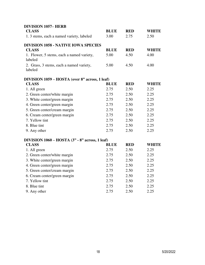| <b>DIVISION 1057-HERB</b>                            |             |            |              |
|------------------------------------------------------|-------------|------------|--------------|
| <b>CLASS</b>                                         | <b>BLUE</b> | <b>RED</b> | <b>WHITE</b> |
| 1. 3 stems, each a named variety, labeled            | 3.00        | 2.75       | 2.50         |
| <b>DIVISION 1058 - NATIVE IOWA SPECIES</b>           |             |            |              |
| <b>CLASS</b>                                         | <b>BLUE</b> | <b>RED</b> | <b>WHITE</b> |
| 1. Flower, 5 stems, each a named variety,<br>labeled | 5.00        | 4.50       | 4.00         |
| 2. Grass, 3 stems, each a named variety,<br>labeled  | 5.00        | 4.50       | 4.00         |
| DIVISION 1059 - HOSTA (over 8" across, 1 leaf)       |             |            |              |
| <b>CLASS</b>                                         | <b>BLUE</b> | <b>RED</b> | <b>WHITE</b> |
| 1. All green                                         | 2.75        | 2.50       | 2.25         |
| 2. Green center/white margin                         | 2.75        | 2.50       | 2.25         |
| 3. White center/green margin                         | 2.75        | 2.50       | 2.25         |
| 4. Green center/green margin                         | 2.75        | 2.50       | 2.25         |
| 5. Green center/cream margin                         | 2.75        | 2.50       | 2.25         |
| 6. Cream center/green margin                         | 2.75        | 2.50       | 2.25         |
| 7. Yellow tint                                       | 2.75        | 2.50       | 2.25         |
| 8. Blue tint                                         | 2.75        | 2.50       | 2.25         |
| 9. Any other                                         | 2.75        | 2.50       | 2.25         |
| DIVISION $1060 - HOSTA (3" - 8" across, 1 leaf)$     |             |            |              |
| <b>CLASS</b>                                         | <b>BLUE</b> | <b>RED</b> | <b>WHITE</b> |
| 1. All green                                         | 2.75        | 2.50       | 2.25         |
| 2. Green center/white margin                         | 2.75        | 2.50       | 2.25         |
| 3. White center/green margin                         | 2.75        | 2.50       | 2.25         |
| 4. Green center/green margin                         | 2.75        | 2.50       | 2.25         |
| 5. Green center/cream margin                         | 2.75        | 2.50       | 2.25         |
| 6. Cream center/green margin                         | 2.75        | 2.50       | 2.25         |
| 7. Yellow tint                                       | 2.75        | 2.50       | 2.25         |
| 8. Blue tint                                         | 2.75        | 2.50       | 2.25         |
| 9. Any other                                         | 2.75        | 2.50       | 2.25         |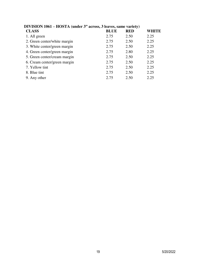| DI VISION 1001 – $\pi$ OSTA (under 5 <sup>-</sup> across, 5 feaves, same variety) |             |            |              |  |  |
|-----------------------------------------------------------------------------------|-------------|------------|--------------|--|--|
| <b>CLASS</b>                                                                      | <b>BLUE</b> | <b>RED</b> | <b>WHITE</b> |  |  |
| 1. All green                                                                      | 2.75        | 2.50       | 2.25         |  |  |
| 2. Green center/white margin                                                      | 2.75        | 2.50       | 2.25         |  |  |
| 3. White center/green margin                                                      | 2.75        | 2.50       | 2.25         |  |  |
| 4. Green center/green margin                                                      | 2.75        | 2.80       | 2.25         |  |  |
| 5. Green center/cream margin                                                      | 2.75        | 2.50       | 2.25         |  |  |
| 6. Cream center/green margin                                                      | 2.75        | 2.50       | 2.25         |  |  |
| 7. Yellow tint                                                                    | 2.75        | 2.50       | 2.25         |  |  |
| 8. Blue tint                                                                      | 2.75        | 2.50       | 2.25         |  |  |
| 9. Any other                                                                      | 2.75        | 2.50       | 2.25         |  |  |

## **DIVISION 1061 – HOSTA (under 3" across, 3 leaves, same variety)**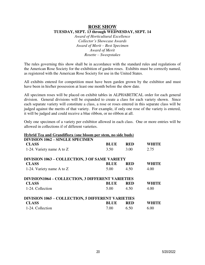#### **ROSE SHOW TUESDAY, SEPT. 13 through WEDNESDAY, SEPT. 14**

*Award of Horticultural Excellence Collector's Showcase Awards Award of Merit – Best Specimen Award of Merit Rosette – Sweepstakes* 

The rules governing this show shall be in accordance with the standard rules and regulations of the American Rose Society for the exhibition of garden roses. Exhibits must be correctly named, as registered with the American Rose Society for use in the United States.

All exhibits entered for competition must have been garden grown by the exhibitor and must have been in his/her possession at least one month before the show date.

All specimen roses will be placed on exhibit tables in ALPHABETICAL order for each general division. General divisions will be expanded to create a class for each variety shown. Since each separate variety will constitute a class, a rose or roses entered in this separate class will be judged against the merits of that variety. For example, if only one rose of the variety is entered, it will be judged and could receive a blue ribbon, or no ribbon at all.

Only one specimen of a variety per exhibitor allowed in each class. One or more entries will be allowed in collections if of different varieties.

## **Hybrid Tea and Grandiflora (one bloom per stem, no side buds)**

| <b>DIVISION 1062 - SINGLE SPECIMEN</b>                   |             |            |              |
|----------------------------------------------------------|-------------|------------|--------------|
| <b>CLASS</b>                                             | <b>BLUE</b> | <b>RED</b> | <b>WHITE</b> |
| 1-24. Variety name A to Z                                | 3.50        | 3.00       | 2.75         |
| <b>DIVISION 1063 - COLLECTION, 3 OF SAME VARIETY</b>     |             |            |              |
| <b>CLASS</b>                                             | <b>BLUE</b> | <b>RED</b> | <b>WHITE</b> |
| 1-24. Variety name A to Z                                | 5.00        | 4.50       | 4.00         |
| <b>DIVISION1064 - COLLECTION, 3 DIFFERENT VARIETIES</b>  |             |            |              |
| <b>CLASS</b>                                             | <b>BLUE</b> | <b>RED</b> | <b>WHITE</b> |
| 1-24. Collection                                         | 5.00        | 4.50       | 4.00         |
| <b>DIVISION 1065 - COLLECTION, 5 DIFFERENT VARIETIES</b> |             |            |              |
| <b>CLASS</b>                                             | <b>BLUE</b> | <b>RED</b> | <b>WHITE</b> |
| 1-24. Collection                                         | 7.00        | 6.50       | 6.00         |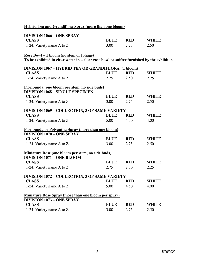## **Hybrid Tea and Grandiflora Spray (more than one bloom)**

| <b>DIVISION 1066 - ONE SPRAY</b>                                                           |             |            |              |
|--------------------------------------------------------------------------------------------|-------------|------------|--------------|
| <b>CLASS</b>                                                                               | <b>BLUE</b> | <b>RED</b> | <b>WHITE</b> |
| 1-24. Variety name A to Z                                                                  | 3.00        | 2.75       | 2.50         |
| <u> Rose Bowl – 1 bloom (no stem or foliage)</u>                                           |             |            |              |
| To be exhibited in clear water in a clear rose bowl or snifter furnished by the exhibitor. |             |            |              |
| DIVISION 1067 - HYBRID TEA OR GRANDIFLORA (1 bloom)                                        |             |            |              |
| <b>CLASS</b>                                                                               | <b>BLUE</b> | <b>RED</b> | <b>WHITE</b> |
| 1-24. Variety name A to Z                                                                  | 2.75        | 2.50       | 2.25         |
| Floribunda (one bloom per stem, no side buds)                                              |             |            |              |
| <b>DIVISION 1068 - SINGLE SPECIMEN</b>                                                     |             |            |              |
| <b>CLASS</b>                                                                               | <b>BLUE</b> | <b>RED</b> | <b>WHITE</b> |
| 1-24. Variety name A to Z                                                                  | 3.00        | 2.75       | 2.50         |
| <b>DIVISION 1069 - COLLECTION, 3 OF SAME VARIETY</b>                                       |             |            |              |
| <b>CLASS</b>                                                                               | <b>BLUE</b> | <b>RED</b> | <b>WHITE</b> |
| 1-24. Variety name A to Z                                                                  | 5.00        | 4.50       | 4.00         |
| Floribunda or Polyantha Spray (more than one bloom)                                        |             |            |              |
| <b>DIVISION 1070 - ONE SPRAY</b>                                                           |             |            |              |
| <b>CLASS</b>                                                                               | <b>BLUE</b> | <b>RED</b> | <b>WHITE</b> |
| 1-24. Variety name A to Z                                                                  | 3.00        | 2.75       | 2.50         |
| Miniature Rose (one bloom per stem, no side buds)                                          |             |            |              |
| <b>DIVISION 1071 - ONE BLOOM</b>                                                           |             |            |              |
| <b>CLASS</b>                                                                               | <b>BLUE</b> | <b>RED</b> | <b>WHITE</b> |
| 1-24. Variety name A to Z                                                                  | 2.75        | 2.50       | 2.25         |
| <b>DIVISION 1072 - COLLECTION, 3 OF SAME VARIETY</b>                                       |             |            |              |
| <b>CLASS</b>                                                                               | <b>BLUE</b> | <b>RED</b> | <b>WHITE</b> |
| 1-24. Variety name A to Z                                                                  | 5.00        | 4.50       | 4.00         |
| <b>Miniature Rose Spray (more than one bloom per spray)</b>                                |             |            |              |
| <b>DIVISION 1073 - ONE SPRAY</b>                                                           |             |            |              |
| <b>CLASS</b>                                                                               | <b>BLUE</b> | <b>RED</b> | <b>WHITE</b> |
| 1-24. Variety name A to Z                                                                  | 3.00        | 2.75       | 2.50         |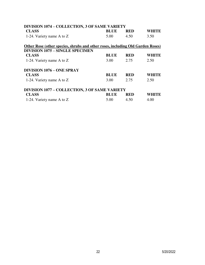| <b>DIVISION 1074 - COLLECTION, 3 OF SAME VARIETY</b>                           |             |            |              |
|--------------------------------------------------------------------------------|-------------|------------|--------------|
| <b>CLASS</b>                                                                   | <b>BLUE</b> | <b>RED</b> | WHITE        |
| 1-24. Variety name A to Z                                                      | 5.00        | 4.50       | 3.50         |
| Other Rose (other species, shrubs and other roses, including Old Garden Roses) |             |            |              |
| <b>DIVISION 1075 - SINGLE SPECIMEN</b>                                         |             |            |              |
| <b>CLASS</b>                                                                   | <b>BLUE</b> | <b>RED</b> | <b>WHITE</b> |
| 1-24. Variety name A to Z                                                      | 3.00        | 2.75       | 2.50         |
| <b>DIVISION 1076 – ONE SPRAY</b>                                               |             |            |              |
| <b>CLASS</b>                                                                   | <b>BLUE</b> | <b>RED</b> | WHITE        |
| 1-24. Variety name A to Z                                                      | 3.00        | 2.75       | 2.50         |
| <b>DIVISION 1077 - COLLECTION, 3 OF SAME VARIETY</b>                           |             |            |              |
| <b>CLASS</b>                                                                   | <b>BLUE</b> | <b>RED</b> | WHITE        |
| 1-24. Variety name A to Z                                                      | 5.00        | 4.50       | 4.00         |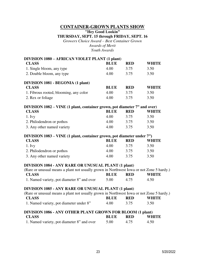#### **CONTAINER-GROWN PLANTS SHOW**

**"Hey Good Lookin"**

#### **THURSDAY, SEPT. 15 through FRIDAY, SEPT. 16**

*Growers Choice Award – Best Container Grown Awards of Merit Youth Awards* 

#### **DIVISION 1080 – AFRICAN VIOLET PLANT (1 plant)**

| <b>CLASS</b>                                                              | <b>BLUE</b> | <b>RED</b>                                                                                                                                                                                                                                                                                                                                                                           | <b>WHITE</b> |
|---------------------------------------------------------------------------|-------------|--------------------------------------------------------------------------------------------------------------------------------------------------------------------------------------------------------------------------------------------------------------------------------------------------------------------------------------------------------------------------------------|--------------|
| 1. Single bloom, any type                                                 | 4.00        | 3.75                                                                                                                                                                                                                                                                                                                                                                                 | 3.50         |
| 2. Double bloom, any type                                                 | 4.00        | 3.75                                                                                                                                                                                                                                                                                                                                                                                 | 3.50         |
| DIVISION 1081 - BEGONIA (1 plant)                                         |             |                                                                                                                                                                                                                                                                                                                                                                                      |              |
| <b>CLASS</b>                                                              | <b>BLUE</b> | <b>RED</b>                                                                                                                                                                                                                                                                                                                                                                           | <b>WHITE</b> |
| 1. Fibrous rooted, blooming, any color                                    | 4.00        | 3.75                                                                                                                                                                                                                                                                                                                                                                                 | 3.50         |
| 2. Rex or foliage                                                         | 4.00        | 3.75                                                                                                                                                                                                                                                                                                                                                                                 | 3.50         |
| DIVISION 1082 - VINE (1 plant, container grown, pot diameter 7" and over) |             |                                                                                                                                                                                                                                                                                                                                                                                      |              |
| <b>CLASS</b>                                                              | <b>BLUE</b> | <b>RED</b>                                                                                                                                                                                                                                                                                                                                                                           | <b>WHITE</b> |
| 1. Ivy                                                                    | 4.00        | 3.75                                                                                                                                                                                                                                                                                                                                                                                 | 3.50         |
| 2. Philodendron or pothos                                                 | 4.00        | 3.75                                                                                                                                                                                                                                                                                                                                                                                 | 3.50         |
| 3. Any other named variety                                                | 4.00        | 3.75                                                                                                                                                                                                                                                                                                                                                                                 | 3.50         |
|                                                                           |             | $\overline{1}$ $\overline{1}$ $\overline{1}$ $\overline{1}$ $\overline{1}$ $\overline{1}$ $\overline{1}$ $\overline{1}$ $\overline{1}$ $\overline{1}$ $\overline{1}$ $\overline{1}$ $\overline{1}$ $\overline{1}$ $\overline{1}$ $\overline{1}$ $\overline{1}$ $\overline{1}$ $\overline{1}$ $\overline{1}$ $\overline{1}$ $\overline{1}$ $\overline{1}$ $\overline{1}$ $\overline{$ |              |

#### **DIVISION 1083 – VINE (1 plant, container grown, pot diameter under 7")**<br>**CLASS RED WE CLASS BLUE RED WHITE**

| 1. Ivy                     | 4.00 | 3.75 | 3.50 |
|----------------------------|------|------|------|
| 2. Philodendron or pothos  | 4.00 | 3.75 | 3.50 |
| 3. Any other named variety | 4.00 | 3.75 | 3.50 |

#### **DIVISION 1084 - ANY RARE OR UNUSUAL PLANT (1 plant)**

| (Rare or unusual means a plant not usually grown in Northwest Iowa or not Zone 5 hardy.) |        |            |              |
|------------------------------------------------------------------------------------------|--------|------------|--------------|
| <b>CLASS</b>                                                                             | BLUE - | <b>RED</b> | <b>WHITE</b> |
| 1. Named variety, pot diameter 8" and over                                               | 5.00   | 4.75       | 4.50         |

#### **DIVISION 1085 - ANY RARE OR UNUSUAL PLANT (1 plant)**

| (Rare or unusual means a plant not usually grown in Northwest Iowa or not Zone 5 hardy.) |       |            |              |  |  |
|------------------------------------------------------------------------------------------|-------|------------|--------------|--|--|
| <b>CLASS</b>                                                                             | BLUE. | <b>RED</b> | <b>WHITE</b> |  |  |
| 1. Named variety, pot diameter under 8"                                                  | 4.00  | 3.75       | 3.50         |  |  |

#### **DIVISION 1086 - ANY OTHER PLANT GROWN FOR BLOOM (1 plant) CLASS BLUE RED WHITE**  1. Named variety, pot diameter 8" and over  $5.00$  4.75 4.50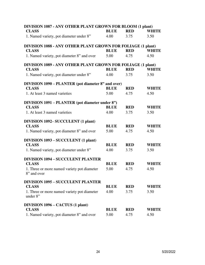| DIVISION 1087 - ANY OTHER PLANT GROWN FOR BLOOM (1 plant)   |             |            |              |
|-------------------------------------------------------------|-------------|------------|--------------|
| <b>CLASS</b>                                                | <b>BLUE</b> | <b>RED</b> | <b>WHITE</b> |
| 1. Named variety, pot diameter under 8"                     | 4.00        | 3.75       | 3.50         |
| DIVISION 1088 - ANY OTHER PLANT GROWN FOR FOLIAGE (1 plant) |             |            |              |
| <b>CLASS</b>                                                | <b>BLUE</b> | <b>RED</b> | <b>WHITE</b> |
| 1. Named variety, pot diameter 8" and over                  | 5.00        | 4.75       | 4.50         |
| DIVISION 1089 - ANY OTHER PLANT GROWN FOR FOLIAGE (1 plant) |             |            |              |
| <b>CLASS</b>                                                | <b>BLUE</b> | <b>RED</b> | <b>WHITE</b> |
| 1. Named variety, pot diameter under 8"                     | 4.00        | 3.75       | 3.50         |
| DIVISION 1090 – PLANTER (pot diameter 8" and over)          |             |            |              |
| <b>CLASS</b>                                                | <b>BLUE</b> | <b>RED</b> | <b>WHITE</b> |
| 1. At least 3 named varieties                               | 5.00        | 4.75       | 4.50         |
| <b>DIVISION 1091 – PLANTER (pot diameter under 8")</b>      |             |            |              |
| <b>CLASS</b>                                                | <b>BLUE</b> | <b>RED</b> | <b>WHITE</b> |
| 1. At least 3 named varieties                               | 4.00        | 3.75       | 3.50         |
| DIVISION 1092-SUCCULENT (1 plant)                           |             |            |              |
| <b>CLASS</b>                                                | <b>BLUE</b> | <b>RED</b> | <b>WHITE</b> |
| 1. Named variety, pot diameter 8" and over                  | 5.00        | 4.75       | 4.50         |
| <b>DIVISION 1093 - SUCCULENT (1 plant)</b>                  |             |            |              |
| <b>CLASS</b>                                                | <b>BLUE</b> | <b>RED</b> | <b>WHITE</b> |
| 1. Named variety, pot diameter under 8"                     | 4.00        | 3.75       | 3.50         |
| <b>DIVISION 1094 - SUCCULENT PLANTER</b>                    |             |            |              |
| <b>CLASS</b>                                                | <b>BLUE</b> | <b>RED</b> | <b>WHITE</b> |
| 1. Three or more named variety pot diameter<br>8" and over  | 5.00        | 4.75       | 4.50         |
| <b>DIVISION 1095 - SUCCULENT PLANTER</b>                    |             |            |              |
| <b>CLASS</b>                                                | <b>BLUE</b> | <b>RED</b> | <b>WHITE</b> |
| 1. Three or more named variety pot diameter<br>under 8"     | 4.00        | 3.75       | 3.50         |
| DIVISION 1096 – CACTUS (1 plant)                            |             |            |              |
| <b>CLASS</b>                                                | <b>BLUE</b> | <b>RED</b> | <b>WHITE</b> |
| 1. Named variety, pot diameter 8" and over                  | 5.00        | 4.75       | 4.50         |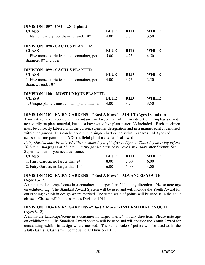| DIVISION 1097– CACTUS (1 plant)<br><b>CLASS</b>                       | <b>BLUE</b> | <b>RED</b> | WHITE        |
|-----------------------------------------------------------------------|-------------|------------|--------------|
| 1. Named variety, pot diameter under 8"                               | 4.00        | 3.75       | 3.50         |
| <b>DIVISION 1098 - CACTUS PLANTER</b>                                 |             |            |              |
| <b>CLASS</b>                                                          | <b>BLUE</b> | <b>RED</b> | WHITE        |
| 1. Five named varieties in one container, pot<br>diameter 8" and over | 5.00        | 4.75       | 4.50         |
| <b>DIVISION 1099 - CACTUS PLANTER</b>                                 |             |            |              |
| <b>CLASS</b>                                                          | <b>BLUE</b> | <b>RED</b> | <b>WHITE</b> |
| 1. Five named varieties in one container, pot<br>diameter under 8"    | 4.00        | 3.75       | 3.50         |
| <b>DIVISION 1100 - MOST UNIQUE PLANTER</b>                            |             |            |              |
| <b>CLASS</b>                                                          | BLUE        | <b>RED</b> | WHITE        |
| 1. Unique planter, must contain plant material                        | 4.00        | 3.75       | 3.50         |

#### **DIVISION 1101– FAIRY GARDENS – "Bust A Move" - ADULT (Ages 18 and up)**

A miniature landscape/scene in a container no larger than 24" in any direction. Emphasis is not necessarily on plant material, but must have some live plant material/s included. Each specimen must be correctly labeled with the current scientific designation and in a manner easily identified within the garden. This can be done with a single chart or individual placards. All types of accessories are permitted. **NO Artificial plant material is allowed**.

*Fairy Garden must be entered either Wednesday night after 5:30pm or Thursday morning before 10:30am. Judging is at 11:00am. Fairy garden must be removed on Friday after 5:00pm*. See Superintendent if you need assistance.

| <b>CLASS</b>                        | <b>BLUE</b> | RED  | WHITE |
|-------------------------------------|-------------|------|-------|
| 1. Fairy Garden, no larger than 24" | 8.00        | 7.00 | 6.00  |
| 2. Fairy Garden, no larger than 10" | 6.00        | 5.00 | 4.00  |

## **DIVISION 1102– FAIRY GARDENS – "Bust A Move" - ADVANCED YOUTH (Ages 13-17)**

A miniature landscape/scene in a container no larger than 24" in any direction. Please note age on exhibitor tag. The Standard Award System will be used and will include the Youth Award for outstanding exhibit in design where merited. The same scale of points will be used as in the adult classes. Classes will be the same as Division 1011.

#### **DIVISION 1103– FAIRY GARDENS –"Bust A Move" - INTERMEDIATE YOUTH (Ages 8-12)**

A miniature landscape/scene in a container no larger than 24" in any direction. Please note age on exhibitor tag. The Standard Award System will be used and will include the Youth Award for outstanding exhibit in design where merited. The same scale of points will be used as in the adult classes. Classes will be the same as Division 1011**.**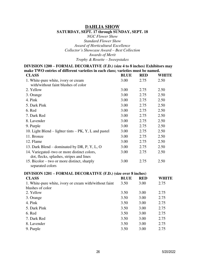#### **DAHLIA SHOW**

#### **SATURDAY, SEPT. 17 through SUNDAY, SEPT. 18**

*NGC Flower Show Standard Flower Show Award of Horticultural Excellence Collector's Showcase Award – Best Collection Awards of Merit Trophy & Rosette – Sweepstakes* 

**DIVISION 1200 – FORMAL DECORATIVE (F.D.) (size 4 to 8 inches) Exhibitors may make TWO entries of different varieties in each class; varieties must be named. CLASS BLUE RED WHITE**  1. White-pure white, ivory or cream with/without faint blushes of color 3.00 2.75 2.50 2. Yellow 3.00 2.75 2.50 3. Orange 2.75 2.50 4. Pink 2.50 2.75 2.50 5. Dark Pink 3.00 2.75 2.50 6. Red 2.75 2.50 7. Dark Red 3.00 2.75 2.50 8. Lavender 3.00 2.75 2.50 9. Purple 2.75 2.50 10. Light Blend – lighter tints – PK, Y, L and pastel  $3.00$  2.75 2.50 11. Bronze 3.00 2.75 2.50 12. Flame 3.00 2.75 2.50 13. Dark Blend – dominated by DR, P, Y, L, O 3.00 2.75 2.50 14. Variegated–two or more distinct colors, dot, flecks, splashes, stripes and lines 3.00 2.75 2.50 15. Bicolor – two or more distinct, sharply separated colors 3.00 2.75 2.50 **DIVISION 1201 – FORMAL DECORATIVE (F.D.) (size over 8 inches) CLASS BLUE RED WHITE**  1. White-pure white, ivory or cream with/without faint blushes of color 3.50 3.00 2.75 2. Yellow 3.50 3.00 2.75 3. Orange 3.50 3.00 2.75

4. Pink 3.50 3.00 2.75 5. Dark Pink 3.50 3.00 2.75 6. Red 3.50 3.00 2.75 7. Dark Red 3.50 3.00 2.75 8. Lavender 3.50 3.00 2.75 9. Purple 2.75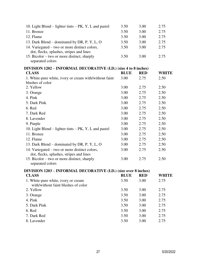| 10. Light Blend – lighter tints – $PK$ , Y, L and pastel                   | 3.50        | 3.00       | 2.75         |
|----------------------------------------------------------------------------|-------------|------------|--------------|
| 11. Bronze                                                                 | 3.50        | 3.00       | 2.75         |
| 12. Flame                                                                  | 3.50        | 3.00       | 2.75         |
| 13. Dark Blend – dominated by DR, P, Y, L, O                               | 3.50        | 3.00       | 2.75         |
| 14. Variegated – two or more distinct colors,                              | 3.50        | 3.00       | 2.75         |
| dot, flecks, splashes, stripes and lines                                   |             |            |              |
| 15. Bicolor – two or more distinct, sharply                                | 3.50        | 3.00       | 2.75         |
| separated colors                                                           |             |            |              |
| DIVISION 1202 - INFORMAL DECORATIVE (I.D.) (size 4 to 8 inches)            |             |            |              |
| <b>CLASS</b>                                                               | <b>BLUE</b> | <b>RED</b> | <b>WHITE</b> |
| 1. White-pure white, ivory or cream with/without faint                     | 3.00        | 2.75       | 2.50         |
| blushes of color                                                           |             |            |              |
| 2. Yellow                                                                  | 3.00        | 2.75       | 2.50         |
| 3. Orange                                                                  | 3.00        | 2.75       | 2.50         |
| 4. Pink                                                                    | 3.00        | 2.75       | 2.50         |
| 5. Dark Pink                                                               | 3.00        | 2.75       | 2.50         |
| 6. Red                                                                     | 3.00        | 2.75       | 2.50         |
| 7. Dark Red                                                                | 3.00        | 2.75       | 2.50         |
| 8. Lavender                                                                | 3.00        | 2.75       | 2.50         |
| 9. Purple                                                                  | 3.00        | 2.75       | 2.50         |
| 10. Light Blend – lighter tints – $PK$ , Y, L and pastel                   | 3.00        | 2.75       | 2.50         |
| 11. Bronze                                                                 | 3.00        | 2.75       | 2.50         |
| 12. Flame                                                                  | 3.00        | 2.75       | 2.50         |
| 13. Dark Blend – dominated by DR, P, Y, L, O                               | 3.00        | 2.75       | 2.50         |
| 14. Variegated – two or more distinct colors,                              | 3.00        | 2.75       | 2.50         |
| dot, flecks, splashes, stripes and lines                                   |             |            |              |
| 15. Bicolor – two or more distinct, sharply                                | 3.00        | 2.75       | 2.50         |
| separated colors                                                           |             |            |              |
| DIVISION 1203 - INFORMAL DECORATIVE (I.D.) (size over 8 inches)            |             |            |              |
| <b>CLASS</b>                                                               | <b>BLUE</b> | <b>RED</b> | <b>WHITE</b> |
| 1. White-pure white, ivory or cream<br>with/without faint blushes of color | 3.50        | 3.00       | 2.75         |
| 2. Yellow                                                                  | 3.50        | 3.00       | 2.75         |
| 3. Orange                                                                  | 3.50        | 3.00       | 2.75         |
| 4. Pink                                                                    | 3.50        | 3.00       | 2.75         |
| 5. Dark Pink                                                               | 3.50        | 3.00       | 2.75         |
| 6. Red                                                                     | 3.50        | 3.00       | 2.75         |
| 7. Dark Red                                                                | 3.50        | 3.00       | 2.75         |
| 8. Lavender                                                                | 3.50        | 3.00       | 2.75         |
|                                                                            |             |            |              |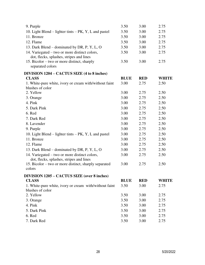| 3.50        | 3.00       | 2.75         |
|-------------|------------|--------------|
| 3.50        | 3.00       | 2.75         |
| 3.50        | 3.00       | 2.75         |
| 3.50        | 3.00       | 2.75         |
| 3.50        | 3.00       | 2.75         |
| 3.50        | 3.00       | 2.75         |
| 3.50        | 3.00       | 2.75         |
|             |            |              |
| <b>BLUE</b> | <b>RED</b> | <b>WHITE</b> |
| 3.00        | 2.75       | 2.50         |
| 3.00        | 2.75       | 2.50         |
| 3.00        | 2.75       | 2.50         |
| 3.00        | 2.75       | 2.50         |
| 3.00        | 2.75       | 2.50         |
| 3.00        | 2.75       | 2.50         |
| 3.00        | 2.75       | 2.50         |
| 3.00        | 2.75       | 2.50         |
| 3.00        | 2.75       | 2.50         |
| 3.00        | 2.75       | 2.50         |
| 3.00        | 2.75       | 2.50         |
| 3.00        | 2.75       | 2.50         |
| 3.00        | 2.75       | 2.50         |
| 3.00        | 2.75       | 2.50         |
| 3.00        | 2.75       | 2.50         |
|             |            |              |
| <b>BLUE</b> | <b>RED</b> | <b>WHITE</b> |
| 3.50        | 3.00       | 2.75         |
|             |            |              |
| 3.50        | 3.00       | 2.75         |
| 3.50        | 3.00       | 2.75         |
| 3.50        | 3.00       | 2.75         |
| 3.50        | 3.00       | 2.75         |
| 3.50        | 3.00       | 2.75         |
| 3.50        | 3.00       | 2.75         |
|             |            |              |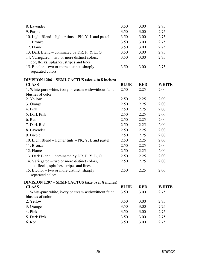| 8. Lavender                                                                               | 3.50        | 3.00       | 2.75         |
|-------------------------------------------------------------------------------------------|-------------|------------|--------------|
| 9. Purple                                                                                 | 3.50        | 3.00       | 2.75         |
| 10. Light Blend – lighter tints – PK, Y, L and pastel                                     | 3.50        | 3.00       | 2.75         |
| 11. Bronze                                                                                | 3.50        | 3.00       | 2.75         |
| 12. Flame                                                                                 | 3.50        | 3.00       | 2.75         |
| 13. Dark Blend – dominated by DR, P, Y, L, O                                              | 3.50        | 3.00       | 2.75         |
| 14. Variegated – two or more distinct colors,<br>dot, flecks, splashes, stripes and lines | 3.50        | 3.00       | 2.75         |
| 15. Bicolor – two or more distinct, sharply<br>separated colors                           | 3.50        | 3.00       | 2.75         |
| DIVISION 1206 – SEMI-CACTUS (size 4 to 8 inches)                                          |             |            |              |
| <b>CLASS</b>                                                                              | <b>BLUE</b> | <b>RED</b> | <b>WHITE</b> |
| 1. White-pure white, ivory or cream with/without faint<br>blushes of color                | 2.50        | 2.25       | 2.00         |
| 2. Yellow                                                                                 | 2.50        | 2.25       | 2.00         |
| 3. Orange                                                                                 | 2.50        | 2.25       | 2.00         |
| 4. Pink                                                                                   | 2.50        | 2.25       | 2.00         |
| 5. Dark Pink                                                                              | 2.50        | 2.25       | 2.00         |
| 6. Red                                                                                    | 2.50        | 2.25       | 2.00         |
| 7. Dark Red                                                                               | 2.50        | 2.25       | 2.00         |
| 8. Lavender                                                                               | 2.50        | 2.25       | 2.00         |
| 9. Purple                                                                                 | 2.50        | 2.25       | 2.00         |
| 10. Light Blend – lighter tints – PK, Y, L and pastel                                     | 2.50        | 2.25       | 2.00         |
| 11. Bronze                                                                                | 2.50        | 2.25       | 2.00         |
| 12. Flame                                                                                 | 2.50        | 2.25       | 2.00         |
| 13. Dark Blend – dominated by DR, P, Y, L, O                                              | 2.50        | 2.25       | 2.00         |
| 14. Variegated – two or more distinct colors,<br>dot, flecks, splashes, stripes and lines | 2.50        | 2.25       | 2.00         |
| 15. Bicolor – two or more distinct, sharply<br>separated colors                           | 2.50        | 2.25       | 2.00         |
| DIVISION 1207 – SEMI-CACTUS (size over 8 inches)                                          |             |            |              |
| <b>CLASS</b>                                                                              | <b>BLUE</b> | <b>RED</b> | <b>WHITE</b> |
| 1. White-pure white, ivory or cream with/without faint<br>blushes of color                | 3.50        | 3.00       | 2.75         |
| 2. Yellow                                                                                 | 3.50        | 3.00       | 2.75         |
| 3. Orange                                                                                 | 3.50        | 3.00       | 2.75         |
| 4. Pink                                                                                   | 3.50        | 3.00       | 2.75         |
| 5. Dark Pink                                                                              | 3.50        | 3.00       | 2.75         |
| 6. Red                                                                                    | 3.50        | 3.00       | 2.75         |
|                                                                                           |             |            |              |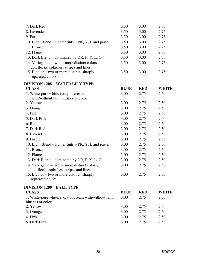| 7. Dark Red                                              | 3.50        | 3.00       | 2.75         |
|----------------------------------------------------------|-------------|------------|--------------|
| 8. Lavender                                              | 3.50        | 3.00       | 2.75         |
| 9. Purple                                                | 3.50        | 3.00       | 2.75         |
| 10. Light Blend – lighter tints – $PK$ , Y, L and pastel | 3.50        | 3.00       | 2.75         |
| 11. Bronze                                               | 3.50        | 3.00       | 2.75         |
| 12. Flame                                                | 3.50        | 3.00       | 2.75         |
| 13. Dark Blend – dominated by DR, P, Y, L, O             | 3.50        | 3.00       | 2.75         |
| 14. Variegated – two or more distinct colors,            | 3.50        | 3.00       | 2.75         |
| dot, flecks, splashes, stripes and lines                 |             |            |              |
| 15. Bicolor – two or more distinct, sharply              | 3.50        | 3.00       | 2.75         |
| separated colors                                         |             |            |              |
| <b>DIVISION 1208 – WATER LILY TYPE</b>                   |             |            |              |
| <b>CLASS</b>                                             | <b>BLUE</b> | <b>RED</b> | <b>WHITE</b> |
| 1. White-pure white, ivory or cream                      | 3.00        | 2.75       | 2.50         |
| with/without faint blushes of color                      |             |            |              |
| 2. Yellow                                                | 3.00        | 2.75       | 2.50         |
| 3. Orange                                                | 3.00        | 2.75       | 2.50         |
| 4. Pink                                                  | 3.00        | 2.75       | 2.50         |
| 5. Dark Pink                                             | 3.00        | 2.75       | 2.50         |
| 6. Red                                                   | 3.00        | 2.75       | 2.50         |
| 7. Dark Red                                              | 3.00        | 2.75       | 2.50         |
| 8. Lavender                                              | 3.00        | 2.75       | 2.50         |
| 9. Purple                                                | 3.00        | 2.75       | 2.50         |
| 10. Light Blend – lighter tints – PK, Y, L and pastel    | 3.00        | 2.75       | 2.50         |
| 11. Bronze                                               | 3.00        | 2.75       | 2.50         |
| 12. Flame                                                | 3.00        | 2.75       | 2.50         |
| 13. Dark Blend – dominated by DR, P, Y, L, O             | 3.00        | 2.75       | 2.50         |
| 14. Variegated – two or more distinct colors,            | 3.00        | 2.75       | 2.50         |
| dot, flecks, splashes, stripes and lines                 |             |            |              |
| 15. Bicolor – two or more distinct, sharply              | 3.00        | 2.75       | 2.50         |
| separated colors                                         |             |            |              |
| <b>DIVISION 1209 – BALL TYPE</b>                         |             |            |              |
| <b>CLASS</b>                                             | <b>BLUE</b> | <b>RED</b> | <b>WHITE</b> |
| 1. White-pure white, ivory or cream with/without faint   | 3.00        | 2.75       | 2.50         |
| blushes of color                                         |             |            |              |
| 2. Yellow                                                | 3.00        | 2.75       | 2.50         |
| 3. Orange                                                | 3.00        | 2.75       | 2.50         |
| 4. Pink                                                  | 3.00        | 2.75       | 2.50         |
| 5. Dark Pink                                             | 3.00        | 2.75       | 2.50         |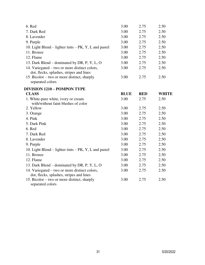| 3.00        | 2.75       | 2.50         |
|-------------|------------|--------------|
| 3.00        | 2.75       | 2.50         |
| 3.00        | 2.75       | 2.50         |
| 3.00        | 2.75       | 2.50         |
| 3.00        | 2.75       | 2.50         |
| 3.00        | 2.75       | 2.50         |
| 3.00        | 2.75       | 2.50         |
| 3.00        | 2.75       | 2.50         |
| 3.00        | 2.75       | 2.50         |
| 3.00        | 2.75       | 2.50         |
|             |            |              |
| <b>BLUE</b> | <b>RED</b> | <b>WHITE</b> |
| 3.00        | 2.75       | 2.50         |
| 3.00        | 2.75       | 2.50         |
| 3.00        | 2.75       | 2.50         |
| 3.00        | 2.75       | 2.50         |
| 3.00        | 2.75       | 2.50         |
| 3.00        | 2.75       | 2.50         |
| 3.00        | 2.75       | 2.50         |
| 3.00        | 2.75       | 2.50         |
| 3.00        | 2.75       | 2.50         |
| 3.00        | 2.75       | 2.50         |
| 3.00        | 2.75       | 2.50         |
| 3.00        | 2.75       | 2.50         |
| 3.00        | 2.75       | 2.50         |
| 3.00        | 2.75       | 2.50         |
|             |            |              |
|             |            |              |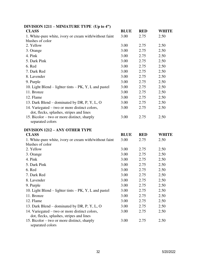| DIVISION $1211 - \text{MINIA I}$ UKE TYPE (UP to 4 <sup>2</sup> ) |             |            |              |
|-------------------------------------------------------------------|-------------|------------|--------------|
| <b>CLASS</b>                                                      | <b>BLUE</b> | <b>RED</b> | <b>WHITE</b> |
| 1. White-pure white, ivory or cream with/without faint            | 3.00        | 2.75       | 2.50         |
| blushes of color                                                  |             |            |              |
| 2. Yellow                                                         | 3.00        | 2.75       | 2.50         |
| 3. Orange                                                         | 3.00        | 2.75       | 2.50         |
| 4. Pink                                                           | 3.00        | 2.75       | 2.50         |
| 5. Dark Pink                                                      | 3.00        | 2.75       | 2.50         |
| 6. Red                                                            | 3.00        | 2.75       | 2.50         |
| 7. Dark Red                                                       | 3.00        | 2.75       | 2.50         |
| 8. Lavender                                                       | 3.00        | 2.75       | 2.50         |
| 9. Purple                                                         | 3.00        | 2.75       | 2.50         |
| 10. Light Blend – lighter tints – PK, Y, L and pastel             | 3.00        | 2.75       | 2.50         |
| 11. Bronze                                                        | 3.00        | 2.75       | 2.50         |
| 12. Flame                                                         | 3.00        | 2.75       | 2.50         |
| 13. Dark Blend – dominated by DR, P, Y, L, O                      | 3.00        | 2.75       | 2.50         |
| 14. Variegated – two or more distinct colors,                     | 3.00        | 2.75       | 2.50         |
| dot, flecks, splashes, stripes and lines                          |             |            |              |
| 15. Bicolor – two or more distinct, sharply                       | 3.00        | 2.75       | 2.50         |
| separated colors                                                  |             |            |              |
| <b>DIVISION 1212 - ANY OTHER TYPE</b>                             |             |            |              |
| <b>CLASS</b>                                                      | <b>BLUE</b> | <b>RED</b> | <b>WHITE</b> |
| 1. White-pure white, ivory or cream with/without faint            | 3.00        | 2.75       | 2.50         |
| blushes of color                                                  |             |            |              |
| 2. Yellow                                                         | 3.00        | 2.75       | 2.50         |
| 3. Orange                                                         | 3.00        | 2.75       | 2.50         |
| 4. Pink                                                           | 3.00        | 2.75       | 2.50         |
| 5. Dark Pink                                                      | 3.00        | 2.75       | 2.50         |
| 6. Red                                                            | 3.00        | 2.75       | 2.50         |
| 7. Dark Red                                                       | 3.00        | 2.75       | 2.50         |
| 8. Lavender                                                       | 3.00        | 2.75       | 2.50         |
| 9. Purple                                                         | 3.00        | 2.75       | 2.50         |
| 10. Light Blend – lighter tints – $PK$ , Y, L and pastel          | 3.00        | 2.75       | 2.50         |
| 11. Bronze                                                        | 3.00        | 2.75       | 2.50         |
| 12. Flame                                                         | 3.00        | 2.75       | 2.50         |
| 13. Dark Blend – dominated by DR, P, Y, L, O                      | 3.00        | 2.75       | 2.50         |
| 14. Variegated – two or more distinct colors,                     | 3.00        | 2.75       | 2.50         |
| dot, flecks, splashes, stripes and lines                          |             |            |              |
| 15. Bicolor – two or more distinct, sharply                       | 3.00        | 2.75       | 2.50         |
| separated colors                                                  |             |            |              |

## **DIVISION 1211 – MINIATURE TYPE (Up to 4")**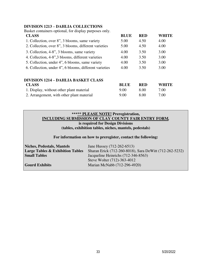#### **DIVISION 1213 – DAHLIA COLLECTIONS**

| Basket containers optional, for display purposes only. |             |            |              |
|--------------------------------------------------------|-------------|------------|--------------|
| <b>CLASS</b>                                           | <b>BLUE</b> | <b>RED</b> | <b>WHITE</b> |
| 1. Collection, over 8", 3 blooms, same variety         | 5.00        | 4.50       | 4.00         |
| 2. Collection, over 8", 3 blooms, different varieties  | 5.00        | 4.50       | 4.00         |
| 3. Collection, 4-8", 3 blooms, same variety            | 4.00        | 3.50       | 3.00         |
| 4. Collection, 4-8", 3 blooms, different varieties     | 4.00        | 3.50       | 3.00         |
| 5. Collection, under 4", 6 blooms, same variety        | 4.00        | 3.50       | 3.00         |
| 6. Collection, under 4", 6 blooms, different varieties | 4.00        | 3.50       | 3.00         |
| <b>DIVISION 1214 – DAHLIA BASKET CLASS</b>             |             |            |              |
| <b>CLASS</b>                                           | <b>BLUE</b> | <b>RED</b> | <b>WHITE</b> |
| 1. Display, without other plant material               | 9.00        | 8.00       | 7.00         |
| 2. Arrangement, with other plant material              | 9.00        | 8.00       | 7.00         |

#### **\*\*\*\*\* PLEASE NOTE! Preregistration, INCLUDING SUBMISSION OF CLAY COUNTY FAIR ENTRY FORM***,*  **is required for Design Divisions (tables, exhibition tables, niches, mantels, pedestals)**

**For information on how to preregister, contact the following:** 

| <b>Niches, Pedestals, Mantels</b>           | Jane Hussey (712-262-6513)                              |
|---------------------------------------------|---------------------------------------------------------|
| <b>Large Tables &amp; Exhibition Tables</b> | Sharan Erick (712-260-8018), Sara DeWitt (712-262-5232) |
| <b>Small Tables</b>                         | Jacqueline Heinrichs (712-346-8563)                     |
|                                             | Steve Wolter (712)-363-4012                             |
| <b>Gourd Exhibits</b>                       | Marian McNabb (712-296-4920)                            |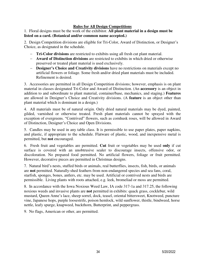#### **Rules for All Design Competitions**

1. Floral designs must be the work of the exhibitor. **All plant material in a design must be listed on a card. (Botanical and/or common name accepted.)**

2. Design Competition divisions are eligible for Tri-Color, Award of Distinction, or Designer's Choice, as designated in the schedule.

- **Tri-Color divisions** are restricted to exhibits using all fresh cut plant material.
- **Award of Distinction divisions** are restricted to exhibits in which dried or otherwise preserved or treated plant material is used exclusively.
- **Designer's Choice and Creativity divisions** have no restrictions on materials except no artificial flowers or foliage. Some fresh and/or dried plant materials must be included. Refinement is desired.

3.Accessories are permitted in all Design Competition divisions; however, emphasis is on plant material in classes designated Tri-Color and Award of Distinction. (An **accessory** is an object in addition to and subordinate to plant material, container/base, mechanics, and staging.) **Features** are allowed in Designer's Choice and Creativity divisions. (A **feature** is an object other than plant material which is dominant in a design.)

4. All materials must be of natural origin. Only dried natural materials may be dyed, painted, gilded, varnished or otherwise treated. Fresh plant materials cannot be sprayed with the exception of evergreens. "Contrived" flowers, such as cornhusk roses, will be allowed in Award of Distinction, Designer's Choice and Open Divisions.

5. Candles may be used in any table class. It is permissible to use paper plates, paper napkins, and plastic, if appropriate to the schedule. Flatware of plastic, wood, and inexpensive metal is permitted, but **not** encouraged.

6. Fresh fruit and vegetables are permitted. **Cut** fruit or vegetables may be used **only** if cut surface is covered with an unobtrusive sealer to discourage insects, offensive odor, or discoloration. No prepared food permitted. No artificial flowers, foliage or fruit permitted. However, decorative pieces are permitted in Christmas designs.

7. Natural bird's nests, stuffed birds or animals, real butterflies, insects, fish, birds, or animals are **not** permitted. Naturally-shed feathers from non-endangered species and sea fans, coral, starfish, sponges, bones, antlers, etc. may be used. Artificial or contrived nests and birds are permissible. Living plants with roots attached, e.g. leek, bromeliad or moss are permitted.

8. In accordance with the Iowa Noxious Weed Law, IA code 317-1a and 317.25, the following noxious weeds and invasive plants are **not** permitted in exhibits: quack grass, cocklebur, wild mustard, Queen Anne's lace, sheep sorrel, dock, teasel, oriental bittersweet, Knotweed, puncture vine, Japanese hops, purple loosestrife, poison hemlock, wild sunflower, thistle, bindweed, horse nettle, leafy spurge, knapweed, buckthorn, Butterprint, and peppergrass.

9. No flags, American or other, are permitted.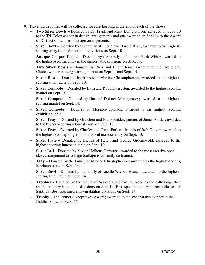- 9. Traveling Trophies will be collected for safe-keeping at the end of each of the shows:
	- **Two Silver Bowls –** Donated by Dr. Frank and Mary Edington; one awarded on Sept. 10 to the Tri-Color winner in design arrangements and one awarded on Sept.14 to the Award of Distinction winner in design arrangements.
	- **Silver Bowl –** Donated by the family of Leona and Harold Blair; awarded to the highestscoring entry in the dinner table divisions on Sept. 10.
	- **Antique Copper Teapot –** Donated by the family of Lou and Ruth White; awarded to the highest-scoring entry in the dinner table divisions on Sept. 14.
	- **Two Silver Bowls –** Donated by Russ and Ellen Heine; awarded to the Designer's Choice winner in design arrangements on Sept.11 and Sept. 14.
	- **Silver Bowl –** Donated by friends of Maxine Christopherson; awarded to the highestscoring small table on Sept. 10.
	- **Silver Compote –** Donated by Irvin and Ruby Dvergsten; awarded to the highest-scoring mantel on Sept. 10.
	- **Silver Compote –** Donated by Jim and Dolores Montgomery; awarded to the highestscoring mantel on Sept. 14.
	- **Silver Compote –** Donated by Florence Johnson; awarded to the highest- scoring exhibition table.
	- **Silver Tray –** Donated by Gretchen and Frank Snider, parents of James Snider; awarded to the highest-scoring arboreal entry on Sept. 10.
	- **Silver Tray –** Donated by Charles and Carol Earhart, friends of Bob Ginger; awarded to the highest-scoring single bloom hybrid tea rose entry on Sept. 13.
	- **Silver Plate –** Donated by friends of Helen and George Groenewold; awarded to the highest-scoring luncheon table on Sept. 10.
	- **Silver Bell –** Donated by Vivian Heikens Herbster; awarded to the most creative open class arrangement or collage (collage is currently on hiatus).
	- **Tray –** Donated by the family of Maxine Christopherson; awarded to the highest-scoring luncheon table on Sept. 14.
	- **Silver Bowl –** Donated by the family of Lucille Wieben Hansen; awarded to the highestscoring small table on Sept. 14.
	- **Trophies -** Donated by the family of Wayne Goedicke; awarded to the following: Best specimen entry in gladioli divisions on Sept.10; Best specimen entry in roses classes on Sept. 13; Best specimen entry in dahlias divisions on Sept. 17.
	- **Trophy** The Romer Sweepstakes Award; awarded to the sweepstakes winner in the Dahlias Show on Sept. 17.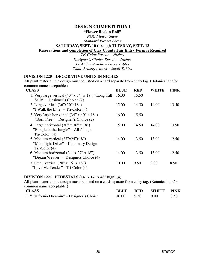## **DESIGN COMPETITION I**

**"Flower Rock n Roll"**

*NGC Flower Show* 

*Standard Flower Show* 

**SATURDAY, SEPT. 10 through TUESDAY, SEPT. 13** 

## **Reservations and completion of Clay County Fair Entry Form is Required**

*Tri-Color Rosette – Niches Designer's Choice Rosette – Niches Tri-Color Rosette – Large Tables Table Artistry Award – Small Tables* 

#### **DIVISION 1220 – DECORATIVE UNITS IN NICHES**

All plant material in a design must be listed on a card separate from entry tag. (Botanical and/or common name acceptable.)

| <b>CLASS</b>                                                                                                                            | <b>BLUE</b> | <b>RED</b> | WHITE | <b>PINK</b> |
|-----------------------------------------------------------------------------------------------------------------------------------------|-------------|------------|-------|-------------|
| 1. Very large vertical $(40" \times 34" \times 18")$ "Long Tall"<br>Sally" – Designer's Choice $(2)$                                    | 16.00       | 15.50      |       |             |
| 2. Large vertical $(36"x30"x18")$<br>"I Walk the Line" – Tri-Color $(4)$                                                                | 15.00       | 14.50      | 14.00 | 13.50       |
| 3. Very large horizontal $(34" \times 40" \times 18")$<br>"Born Free" – Designer's Choice $(2)$                                         | 16.00       | 15.50      |       |             |
| 4. Large horizontal $(30^{\circ} \times 36^{\circ} \times 18^{\circ})$<br>"Bungle in the Jungle" – All foliage"<br>Tri-Color $(4)$      | 15.00       | 14.50      | 14.00 | 13.50       |
| 5. Medium vertical $(27^{\prime\prime}x24^{\prime\prime}x18^{\prime\prime})$<br>"Moonlight Drive" – Illuminary Design<br>$Tri-Color(4)$ | 14.00       | 13.50      | 13.00 | 12.50       |
| 6. Medium horizontal $(24" \times 27" \times 18")$<br>"Dream Weaver" - Designers Choice (4)                                             | 14.00       | 13.50      | 13.00 | 12.50       |
| 7. Small vertical $(20" \times 16" \times 18")$<br>"Love Me Tender" - Tri-Color (4)                                                     | 10.00       | 9.50       | 9.00  | 8.50        |

#### **DIVISION 1221**– **PEDESTALS** (14" x 14" x 48" high) (4)

All plant material in a design must be listed on a card separate from entry tag. (Botanical and/or common name acceptable.)

| <b>CLASS</b>                                | <b>BLUE</b> RED                 | WHITE PINK |      |
|---------------------------------------------|---------------------------------|------------|------|
| 1. "California Dreamin" – Designer's Choice | $10.00 \qquad 9.50 \qquad 9.00$ |            | 8.50 |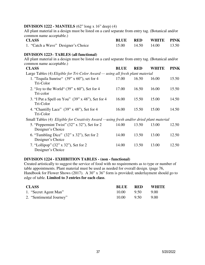#### **DIVISION 1222 - MANTELS** (62" long x 16" deep) (4)

All plant material in a design must be listed on a card separate from entry tag. (Botanical and/or common name acceptable.)

| <b>CLASS</b>                        |  | <b>BLUE RED WHITE PINK</b> |  |
|-------------------------------------|--|----------------------------|--|
| 1. "Catch a Wave" Designer's Choice |  | 15.00 14.50 14.00 13.50    |  |

#### **DIVISION 1223– TABLES (all functional)**

All plant material in a design must be listed on a card separate from entry tag. (Botanical and/or common name acceptable.)

| <b>CLASS</b>                                                                            | <b>BLUE</b> | <b>RED</b> | <b>WHITE</b> | <b>PINK</b> |
|-----------------------------------------------------------------------------------------|-------------|------------|--------------|-------------|
| Large Tables (4) Eligible for Tri-Color Award — using all fresh plant material          |             |            |              |             |
| 1. "Tequila Sunrise" $(39" \times 60")$ , set for 4<br>Tri-Color                        | 17.00       | 16.50      | 16.00        | 15.50       |
| 2. "Joy to the World" $(39" \times 60")$ , Set for 4<br>Tri-color                       | 17.00       | 16.50      | 16.00        | 15.50       |
| 3. "I Put a Spell on You" (39" x 48"), Set for 4<br>Tri-Color                           | 16.00       | 15.50      | 15.00        | 14.50       |
| 4. "Chantilly Lace" $(39" \times 48")$ , Set for 4<br>Tri-Color                         | 16.00       | 15.50      | 15.00        | 14.50       |
| Small Tables (4) Eligible for Creativity Award —using fresh and/or dried plant material |             |            |              |             |
| 5. "Peppermint Twist" $(32" \times 32")$ , Set for 2<br>Designer's Choice               | 14.00       | 13.50      | 13.00        | 12.50       |
| 6. "Tumbling Dice" $(32" \times 32")$ , Set for 2<br>Designer's Choice                  | 14.00       | 13.50      | 13.00        | 12.50       |
| 7. "Lollipop" (32" x 32"), Set for 2<br>Designer's Choice                               | 14.00       | 13.50      | 13.00        | 12.50       |

#### **DIVISION 1224 - EXHIBITION TABLES - (non - functional)**

Created artistically to suggest the service of food with no requirements as to type or number of table appointments. Plant material must be used as needed for overall design. (page 76, Handbook for Flower Shows (2017). A 30" x 36" form is provided; underlayment should go to edge of table. **Limited to 3 entries for each class**.

| <b>CLASS</b>             | <b>BLUE</b> | <b>RED</b> | <b>WHITE</b> |
|--------------------------|-------------|------------|--------------|
| 1. "Secret Agent Man"    | 10.00       | 9.50       | -9.00        |
| 2. "Sentimental Journey" | 10.00       | 9.50       | 9.00         |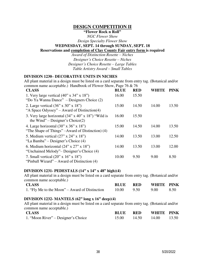## **DESIGN COMPETITION II**

## **"Flower Rock n Roll"**

*NGC Flower Show* 

*Design Specialty Flower Show* 

#### **WEDNESDAY, SEPT. 14 through SUNDAY, SEPT. 18**

#### **Reservations and completion of Clay County Fair entry form is required**

*Award of Distinction Rosette – Niches Designer's Choice Rosette – Niches Designer's Choice Rosette – Large Tables Table Artistry Award – Small Tables* 

#### **DIVISION 1230– DECORATIVE UNITS IN NICHES**

All plant material in a design must be listed on a card separate from entry tag. (Botanical and/or common name acceptable.) Handbook of Flower Show, Page 76  $& 76$ 

| <b>CLASS</b>                                                                                                               | <b>BLUE</b> | <b>RED</b> | WHITE | <b>PINK</b> |
|----------------------------------------------------------------------------------------------------------------------------|-------------|------------|-------|-------------|
| 1. Very large vertical $(40" \times 34" \times 18")$<br>"Do Ya Wanna Dance" – Designers Choice (2)                         | 16.00       | 15.50      |       |             |
| 2. Large vertical $(36" \times 30" \times 18")$<br>"A Space Odyssey" – Award of Distinction(4)                             | 15.00       | 14.50      | 14.00 | 13.50       |
| 3. Very large horizontal (34" x 40" x 18") "Wild is<br>the Wind" – Designer's Choice $(2)$                                 | 16.00       | 15.50      |       |             |
| 4. Large horizontal $(30^{\circ} \times 36^{\circ} \times 18^{\circ})$<br>"The Shape of Things" –Award of Distinction) (4) | 15.00       | 14.50      | 14.00 | 13.50       |
| 5. Medium vertical $(27" \times 24" \times 18")$<br>"La Bamba" – Designer's Choice (4)                                     | 14.00       | 13.50      | 13.00 | 12.50       |
| 6. Medium horizontal $(24" \times 27" \times 18")$<br>"Unchained Melody" – Designer's Choice (4)                           | 14.00       | 13.50      | 13.00 | 12.00       |
| 7. Small vertical $(20" \times 16" \times 18")$<br>"Pinball Wizard" – Award of Distinction $(4)$                           | 10.00       | 9.50       | 9.00  | 8.50        |

#### **DIVISION 1231- PEDESTALS (14" x 14" x 48" high)(4)**

All plant material in a design must be listed on a card separate from entry tag. (Botanical and/or common name acceptable.)

| <b>CLASS</b>                                   | <b>BLUE</b> RED |                 | WHITE PINK |      |
|------------------------------------------------|-----------------|-----------------|------------|------|
| 1. "Fly Me to the Moon" – Award of Distinction |                 | 10.00 9.50 9.00 |            | 8.50 |

## **DIVISION 1232- MANTELS (62" long x 16" deep)(4)**

All plant material in a design must be listed on a card separate from entry tag. (Botanical and/or common name acceptable.)

| <b>CLASS</b>                        | <b>BLUE</b> RED |                         | WHITE PINK |  |
|-------------------------------------|-----------------|-------------------------|------------|--|
| 1. "Moon River" – Designer's Choice |                 | 15.00 14.50 14.00 13.50 |            |  |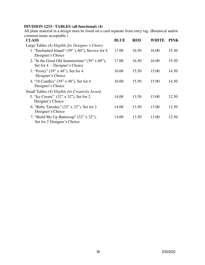## **DIVISION 1233– TABLES (all functional) (4)**

All plant material in a design must be listed on a card separate from entry tag. (Botanical and/or common name acceptable.)

| <b>CLASS</b>                                                                            | <b>BLUE</b> | <b>RED</b> | WHITE | <b>PINK</b> |
|-----------------------------------------------------------------------------------------|-------------|------------|-------|-------------|
| Large Tables (4) Eligible for Designer's Choice                                         |             |            |       |             |
| 1. "Enchanted Island" $(39" \times 60")$ , Service for 4<br>Designer's Choice           | 17.00       | 16.50      | 16.00 | 15.50       |
| 2. "In the Good Old Summertime" $(39" \times 60")$ ,<br>Set for $4$ – Designer's Choice | 17.00       | 16.50      | 16.00 | 15.50       |
| 3. "Frosty" (39" x 48"), Set for 4<br>Designer's Choice                                 | 16.00       | 15.50      | 15.00 | 14.50       |
| 4. "16 Candles" (39" x 48"), Set for 4<br>Designer's Choice                             | 16.00       | 15.50      | 15.00 | 14.50       |
| Small Tables (4) Eligible for Creativity Award                                          |             |            |       |             |
| 5. "Ice Cream" (32" x 32"), Set for 2<br>Designer's Choice                              | 14.00       | 13.50      | 13.00 | 12.50       |
| 6. "Ruby Tuesday" (32" x 32"), Set for 2<br>Designer's Choice                           | 14.00       | 13.50      | 13.00 | 12.50       |
| 7. "Build Me Up Buttercup" $(32" \times 32")$ ,<br>Set for 2 Designer's Choice          | 14.00       | 13.50      | 13.00 | 12.50       |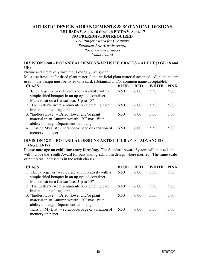## **ARTISTIC DESIGN ARRANGEMENTS & BOTANICAL DESIGNS THURSDAY, Sept. 16 through FRIDAY, Sept. 17 NO PREREGISTION REQUIRED**

*Bell Ringer Award for Creativity Botanical Arts Artistic Award Rosette – Sweepstakes Youth Award* 

#### **DIVISION 1240 – BOTANICAL DESIGNS-ARTISTIC CRAFTS – ADULT (AGE 18 and UP)**

Nature and Creatively Inspired, Lovingly Designed!

Must use fresh and/or dried plant material, no artificial plant material accepted. All plant material used in the design must be listed on a card. (Botanical and/or common name acceptable).

| <b>CLASS</b>                                                                                                                                        | <b>BLUE</b> | <b>RED</b> | WHITE | PINK |
|-----------------------------------------------------------------------------------------------------------------------------------------------------|-------------|------------|-------|------|
| 1"Happy Together" – celebrate your creativity with a<br>simple dried bouquet in an up cycled container.<br>Made to sit on a flat surface. Up to 15" | 6.50        | 6.00       | 5.50  | 5.00 |
| 2. "The Letter" weet sentiments on a greeting card,<br>invitation or calling card.                                                                  | 6.50        | 6.00       | 5.50  | 5.00 |
| 3. "Endless Love" – Dried flower and/or plant<br>material in an Autumn wreath. 20" mas. With<br>ability to hang. Department will hang               | 6.50        | 6.00       | 5.50  | 5.00 |
| 4. "Kiss on My List" – scrapbook page or variation of<br>memory on paper                                                                            | 6.50        | 6.00       | 5.50  | 5.00 |

#### **DIVISION 1241 – BOTANICAL DESIGNS-ARTISTIC CRAFTS - ADVANCED (AGE 13-17)**

**Please note age on exhibitor entry form/tag.** The Standard Award System will be used and will include the Youth Award for outstanding exhibit in design where merited. The same scale of points will be used as in the adult classes.

| <b>CLASS</b>                                                                                                                                          | <b>BLUE</b> | <b>RED</b> | WHITE | <b>PINK</b> |
|-------------------------------------------------------------------------------------------------------------------------------------------------------|-------------|------------|-------|-------------|
| 1. "Happy Together" – celebrate your creativity with a<br>simple dried bouquet in an up cycled container.<br>Made to sit on a flat surface. Up to 15" | 6.50        | 6.00       | 5.50  | 5.00        |
| 2. "The Letter" sweet sentiments on a greeting card,<br>invitation or calling card.                                                                   | 6.50        | 6.00       | 5.50  | 5.00        |
| 3. "Endless Love" – Dried flower and/or plant<br>material in an Autumn wreath. 20" mas. With<br>ability to hang. Department will hang.                | 6.50        | 6.00       | 5.50  | 5.00        |
| 4. "Kiss on My List" – scrapbook page or variation of<br>memory on paper                                                                              | 6.50        | 6.00       | 5.50  | 5.00        |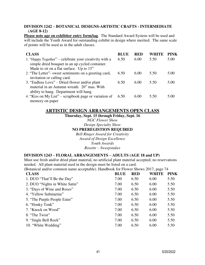#### **DIVISION 1242 – BOTANICAL DESIGNS-ARTISTIC CRAFTS - INTERMEDIATE (AGE 8-12)**

**Please note age on exhibitor entry form/tag**. The Standard Award System will be used and will include the Youth Award for outstanding exhibit in design where merited. The same scale of points will be used as in the adult classes.

| <b>CLASS</b>                                           | <b>BLUE</b> | <b>RED</b> | <b>WHITE</b> | <b>PINK</b> |
|--------------------------------------------------------|-------------|------------|--------------|-------------|
| 1. "Happy Together" – celebrate your creativity with a | 6.50        | 6.00       | 5.50         | 5.00        |
| simple dried bouquet in an up cycled container.        |             |            |              |             |
| Made to sit on a flat surface. Up to 15"               |             |            |              |             |
| 2. "The Letter" sweet sentiments on a greeting card,   | 6.50        | 6.00       | 5.50         | 5.00        |
| invitation or calling card.                            |             |            |              |             |
| 3. "Endless Love" – Dried flower and/or plant          | 6.50        | 6.00       | 5.50         | 5.00        |
| material in an Autumn wreath. 20" mas. With            |             |            |              |             |
| ability to hang. Department will hang.                 |             |            |              |             |
| 4. "Kiss on My List" – scrapbook page or variation of  | 6.50        | 6.00       | 5.50         | 5.00        |
| memory on paper                                        |             |            |              |             |

## **ARTISTIC DESIGN ARRANGEMENTS OPEN CLASS**

**Thursday, Sept. 15 through Friday, Sept. 16** 

*NGC Flower Show* 

*Design Specialty Show* 

#### **NO PREREGISTION REQUIRED**

*Bell Ringer Award for Creativity Award of Design Excellence Youth Awards Rosette – Sweepstakes* 

#### **DIVISION 1243 – FLORAL ARRANGEMENTS – ADULTS (AGE 18 and UP)**

Must use fresh and/or dried plant material, no artificial plant material accepted; no reservations needed. All plant material used in the design must be listed on a card.

(Botanical and/or common name acceptable). Handbook for Flower Shows 2017, page 74

| <b>CLASS</b>                   | <b>BLUE</b> | <b>RED</b> | <b>WHITE</b> | <b>PINK</b> |
|--------------------------------|-------------|------------|--------------|-------------|
| 1. DUO "That'll Be the Day"    | 7.00        | 6.50       | 6.00         | 5.50        |
| 2. DUO "Nights in White Satin" | 7.00        | 6.50       | 6.00         | 5.50        |
| 3. "Days of Wine and Roses"    | 7.00        | 6.50       | 6.00         | 5.50        |
| 4. "Yellow Submarine"          | 7.00        | 6.50       | 6.00         | 5.50        |
| 5. "The Purple People Eater"   | 7.00        | 6.50       | 6.00         | 5.50        |
| 6. "Honky Tonk"                | 7.00        | 6.50       | 6.00         | 5.50        |
| 7. "Knock on Wood"             | 7.00        | 6.50       | 6.00         | 5.50        |
| 8. "The Twist"                 | 7.00        | 6.50       | 6.00         | 5.50        |
| 9. "Jingle Bell Rock"          | 7.00        | 6.50       | 6.00         | 5.50        |
| 10. "White Wedding"            | 7.00        | 6.50       | 6.00         | 5.50        |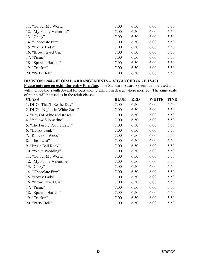| 11. "Colour My World"    | 7.00 | 6.50 | 6.00 | 5.50 |
|--------------------------|------|------|------|------|
| 12. "My Funny Valentine" | 7.00 | 6.50 | 6.00 | 5.50 |
| 13. "Crazy"              | 7.00 | 6.50 | 6.00 | 5.50 |
| 14. "Chocolate Fizz"     | 7.00 | 6.50 | 6.00 | 5.50 |
| 15. "Foxey Lady"         | 7.00 | 6.50 | 6.00 | 5.50 |
| 16. "Brown Eyed Girl"    | 7.00 | 6.50 | 6.00 | 5.50 |
| 17. "Picnic"             | 7.00 | 6.50 | 6.00 | 5.50 |
| 18. "Spanish Harlem"     | 7.00 | 6.50 | 6.00 | 5.50 |
| 19. "Truckin"            | 7.00 | 6.50 | 6.00 | 5.50 |
| 20. "Party Doll"         | 7.00 | 6.50 | 6.00 | 5.50 |

#### **DIVISION 1244 – FLORAL ARRANGEMENTS – ADVANCED (AGE 13-17)**

**Please note age on exhibitor entry form/tag.** The Standard Award System will be used and will include the Youth Award for outstanding exhibit in design where merited. The same scale of points will be used as in the adult classes.

| <b>CLASS</b>                   | <b>BLUE</b> | <b>RED</b> | <b>WHITE</b> | <b>PINK</b> |
|--------------------------------|-------------|------------|--------------|-------------|
| 1. DUO "That'll Be the Day"    | 7.00        | 6.50       | 6.00         | 5.50        |
| 2. DUO "Nights in White Satin" | 7.00        | 6.50       | 6.00         | 5.50        |
| 3. "Days of Wine and Roses"    | 7.00        | 6.50       | 6.00         | 5.50        |
| 4. "Yellow Submarine"          | 7.00        | 6.50       | 6.00         | 5.50        |
| 5. "The Purple People Eater"   | 7.00        | 6.50       | 6.00         | 5.50        |
| 6. "Honky Tonk"                | 7.00        | 6.50       | 6.00         | 5.50        |
| 7. "Knock on Wood"             | 7.00        | 6.50       | 6.00         | 5.50        |
| 8. "The Twist"                 | 7.00        | 6.50       | 6.00         | 5.50        |
| 9. "Jingle Bell Rock"          | 7.00        | 6.50       | 6.00         | 5.50        |
| 10. "White Wedding"            | 7.00        | 6.50       | 6.00         | 5.50        |
| 11. "Colour My World"          | 7.00        | 6.50       | 6.00         | 5.50        |
| 12. "My Funny Valentine"       | 7.00        | 6.50       | 6.00         | 5.50        |
| 13. "Crazy"                    | 7.00        | 6.50       | 6.00         | 5.50        |
| 14. "Chocolate Fizz"           | 7.00        | 6.50       | 6.00         | 5.50        |
| 15. "Foxey Lady"               | 7.00        | 6.50       | 6.00         | 5.50        |
| 16. "Brown Eyed Girl"          | 7.00        | 6.50       | 6.00         | 5.50        |
| 17. "Picnic"                   | 7.00        | 6.50       | 6.00         | 5.50        |
| 18. "Spanish Harlem"           | 7.00        | 6.50       | 6.00         | 5.50        |
| 19. "Truckin"                  | 7.00        | 6.50       | 6.00         | 5.50        |
| 20. "Party Doll"               | 7.00        | 6.50       | 6.00         | 5.50        |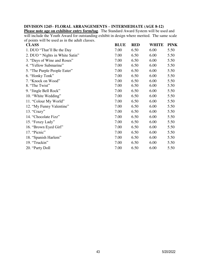## **DIVISION 1245– FLORAL ARRANGEMENTS – INTERMEDIATE (AGE 8-12)**

**Please note age on exhibitor entry form/tag**. The Standard Award System will be used and will include the Youth Award for outstanding exhibit in design where merited. The same scale of points will be used as in the adult classes.

| <b>CLASS</b>                    | <b>BLUE</b> | <b>RED</b> | <b>WHITE</b> | <b>PINK</b> |
|---------------------------------|-------------|------------|--------------|-------------|
| 1. DUO "That'll Be the Day      | 7.00        | 6.50       | 6.00         | 5.50        |
| 2. DUO " Nights in White Satin" | 7.00        | 6.50       | 6.00         | 5.50        |
| 3. "Days of Wine and Roses"     | 7.00        | 6.50       | 6.00         | 5.50        |
| 4. "Yellow Submarine"           | 7.00        | 6.50       | 6.00         | 5.50        |
| 5. "The Purple People Eater"    | 7.00        | 6.50       | 6.00         | 5.50        |
| 6. "Honky Tonk"                 | 7.00        | 6.50       | 6.00         | 5.50        |
| 7. "Knock on Wood"              | 7.00        | 6.50       | 6.00         | 5.50        |
| 8. "The Twist"                  | 7.00        | 6.50       | 6.00         | 5.50        |
| 9. "Jingle Bell Rock"           | 7.00        | 6.50       | 6.00         | 5.50        |
| 10. "White Wedding"             | 7.00        | 6.50       | 6.00         | 5.50        |
| 11. "Colour My World"           | 7.00        | 6.50       | 6.00         | 5.50        |
| 12. "My Funny Valentine"        | 7.00        | 6.50       | 6.00         | 5.50        |
| 13. "Crazy"                     | 7.00        | 6.50       | 6.00         | 5.50        |
| 14. "Chocolate Fizz"            | 7.00        | 6.50       | 6.00         | 5.50        |
| 15. "Foxey Lady"                | 7.00        | 6.50       | 6.00         | 5.50        |
| 16. "Brown Eyed Girl"           | 7.00        | 6.50       | 6.00         | 5.50        |
| 17. "Picnic"                    | 7.00        | 6.50       | 6.00         | 5.50        |
| 18. "Spanish Harlem"            | 7.00        | 6.50       | 6.00         | 5.50        |
| 19. "Truckin"                   | 7.00        | 6.50       | 6.00         | 5.50        |
| 20. "Party Doll                 | 7.00        | 6.50       | 6.00         | 5.50        |
|                                 |             |            |              |             |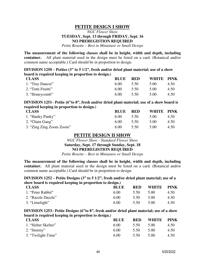## **PETITE DESIGN I SHOW**

## *NGC Flower Show*  **TUESDAY, Sept. 13 through FRIDAY, Sept. 16 NO PREREGISTION REQUIRED**

*Petite Rosette – Best in Miniature or Small Design* 

**The measurement of the following classes shall be in height, width and depth, including container.** All plant material used in the design must be listed on a card. (Botanical and/or common name acceptable.) Card should be in proportion to design*.* 

**DIVISION 1250 – Petites (3" to 5 1/2", fresh and/or dried plant material; use of a show board is required keeping in proportion to design.)**

| <b>CLASS</b>       | <b>BLUE</b> | <b>RED</b> | WHITE PINK |      |
|--------------------|-------------|------------|------------|------|
| 1. "Tiny Dancer"   | 6.00        | 5.50       | 5.00       | 4.50 |
| 2. "Tutti Fruitti" | 6.00        | 5.50       | 5.00       | 4.50 |
| 3. "Honeycomb"     | 6.00        | 5.50       | 5.00       | 4.50 |

**DIVISION 1251– Petite (6"to 8", fresh and/or dried plant material; use of a show board is required keeping in proportion to design.)** 

| <b>CLASS</b>             | <b>BLUE</b> | <b>RED</b> | WHITE PINK |      |
|--------------------------|-------------|------------|------------|------|
| 1. "Hanky Panky"         | 6.00        | 5.50       | 5.00       | 4.50 |
| 2. "Chain Gang"          | 6.00        | 5.50       | 5.00       | 4.50 |
| 3. "Zing Zing Zoom Zoom" | 6.00        | 5.50       | 5.00       | 4.50 |

#### **PETITE DESIGN II SHOW**

*NGC Flower Show - Standard Flower Show*  **Saturday, Sept. 17 through Sunday, Sept. 18 NO PREREGISTION REQUIRED** 

*Petite Rosette – Best in Miniature or Small Design* 

**The measurement of the following classes shall be in height, width and depth, including container.** All plant material used in the design must be listed on a card. (Botanical and/or common name acceptable.) Card should be in proportion to design*.* 

#### **DIVISION 1252 – Petite Designs (3" to 5 1/2", fresh and/or dried plant material; use of a show board is required keeping in proportion to design.)**

| <b>CLASS</b>       | <b>BLUE</b> | <b>RED</b> | WHITE | <b>PINK</b> |
|--------------------|-------------|------------|-------|-------------|
| 1. "Peter Rabbit"  | 6.00        | 5.50       | 5.00  | 4.50        |
| 2. "Razzle Dazzle" | 6.00        | 5.50       | 5.00  | 4.50        |
| 3. "Limelight"     | 6.00        | 5.50       | 5.00  | 4.50        |

#### **DIVISION 1253– Petite Designs (6"to 8", fresh and/or dried plant material; use of a show board is required keeping in proportion to design.)**

| $\overline{1}$ $\overline{9}$ $\overline{1}$ $\overline{1}$ |             |            |              |             |
|-------------------------------------------------------------|-------------|------------|--------------|-------------|
| <b>CLASS</b>                                                | <b>BLUE</b> | <b>RED</b> | <b>WHITE</b> | <b>PINK</b> |
| 1. "Helter Skelter"                                         | 6.00        | 5.50       | 5.00         | 4.50        |
| 2. "Stormy"                                                 | 6.00        | 5.50       | 5.00         | 4.50        |
| 3. "Twilight Time"                                          | 6.00        | 5.50       | 5.00         | 4.50        |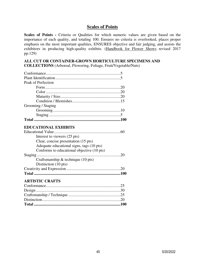## **Scales of Points**

**Scales of Points -** Criteria or Qualities for which numeric values are given based on the importance of each quality, and totaling 100. Ensures no criteria is overlooked, places proper emphasis on the most important qualities, ENSURES objective and fair judging, and assists the exhibitors in producing high-quality exhibits. (Handbook for Flower Shows revised 2017 pp.129)

## **ALL CUT OR CONTAINER-GROWN HORTICULTURE SPECIMENS AND**

**COLLECTIONS** (Arboreal, Flowering, Foliage, Fruit/Vegetable/Nuts)

| Peak of Perfection                         |  |
|--------------------------------------------|--|
|                                            |  |
|                                            |  |
|                                            |  |
|                                            |  |
| Grooming / Staging                         |  |
|                                            |  |
|                                            |  |
|                                            |  |
| <b>EDUCATIONAL EXHIBITS</b>                |  |
|                                            |  |
| Interest to viewers (25 pts)               |  |
| Clear, concise presentation (15 pts)       |  |
| Adequate educational signs, tags (10 pts)  |  |
| Conforms to educational objective (10 pts) |  |

| Craftsmanship $\&$ technique (10 pts) |
|---------------------------------------|
| Distinction $(10 \text{ pts})$        |
|                                       |
|                                       |

#### **ARTISTIC CRAFTS**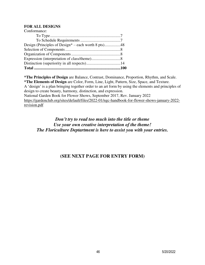#### **FOR ALL DESIGNS**

| Conformance: |  |
|--------------|--|
|              |  |
|              |  |
|              |  |
|              |  |
|              |  |
|              |  |
|              |  |
|              |  |

**\*The Principles of Design** are Balance, Contrast, Dominance, Proportion, Rhythm, and Scale. **\*The Elements of Design** are Color, Form, Line, Light, Pattern, Size, Space, and Texture. A 'design' is a plan bringing together order to an art form by using the elements and principles of design to create beauty, harmony, distinction, and expression. National Garden Book for Flower Shows, September 2017, Rev. January 2022 [https://gardenclub.org/sites/default/files/2022-01/ngc-handbook-for-flower-shows-january-2022](https://gardenclub.org/sites/default/files/2022-01/ngc-handbook-for-flower-shows-january-2022-revision.pdf) [revision.pdf](https://gardenclub.org/sites/default/files/2022-01/ngc-handbook-for-flower-shows-january-2022-revision.pdf) 

*Don't try to read too much into the title or theme Use your own creative interpretation of the theme! The Floriculture Deptartment is here to assist you with your entries.* 

## **(SEE NEXT PAGE FOR ENTRY FORM)**